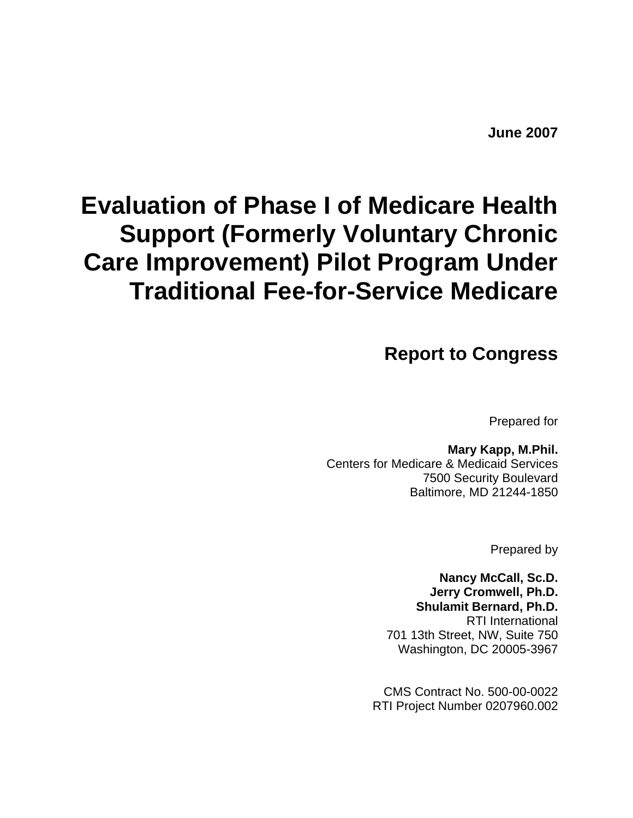# **Evaluation of Phase I of Medicare Health Support (Formerly Voluntary Chronic Care Improvement) Pilot Program Under Traditional Fee-for-Service Medicare**

**Report to Congress** 

Prepared for

# **Mary Kapp, M.Phil.**

Centers for Medicare & Medicaid Services 7500 Security Boulevard Baltimore, MD 21244-1850

Prepared by

**Nancy McCall, Sc.D. Jerry Cromwell, Ph.D. Shulamit Bernard, Ph.D.**  RTI International 701 13th Street, NW, Suite 750 Washington, DC 20005-3967

CMS Contract No. 500-00-0022 RTI Project Number 0207960.002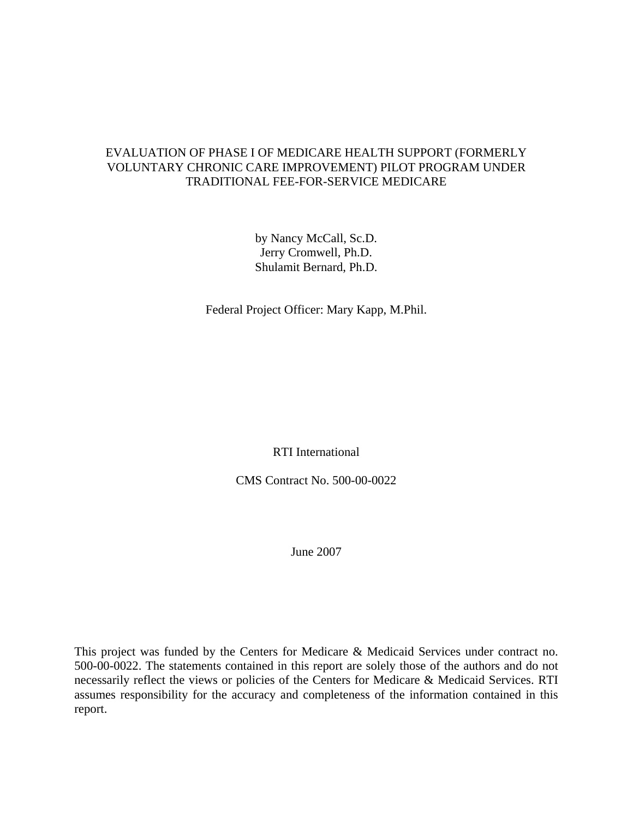# EVALUATION OF PHASE I OF MEDICARE HEALTH SUPPORT (FORMERLY VOLUNTARY CHRONIC CARE IMPROVEMENT) PILOT PROGRAM UNDER TRADITIONAL FEE-FOR-SERVICE MEDICARE

by Nancy McCall, Sc.D. Jerry Cromwell, Ph.D. Shulamit Bernard, Ph.D.

Federal Project Officer: Mary Kapp, M.Phil.

RTI International

CMS Contract No. 500-00-0022

June 2007

This project was funded by the Centers for Medicare & Medicaid Services under contract no. 500-00-0022. The statements contained in this report are solely those of the authors and do not necessarily reflect the views or policies of the Centers for Medicare & Medicaid Services. RTI assumes responsibility for the accuracy and completeness of the information contained in this report.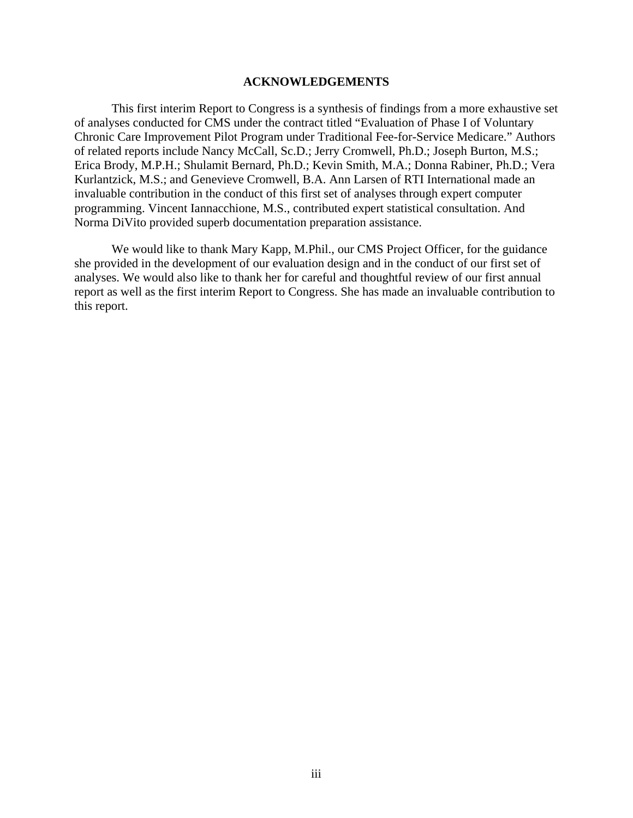#### **ACKNOWLEDGEMENTS**

This first interim Report to Congress is a synthesis of findings from a more exhaustive set of analyses conducted for CMS under the contract titled "Evaluation of Phase I of Voluntary Chronic Care Improvement Pilot Program under Traditional Fee-for-Service Medicare." Authors of related reports include Nancy McCall, Sc.D.; Jerry Cromwell, Ph.D.; Joseph Burton, M.S.; Erica Brody, M.P.H.; Shulamit Bernard, Ph.D.; Kevin Smith, M.A.; Donna Rabiner, Ph.D.; Vera Kurlantzick, M.S.; and Genevieve Cromwell, B.A. Ann Larsen of RTI International made an invaluable contribution in the conduct of this first set of analyses through expert computer programming. Vincent Iannacchione, M.S., contributed expert statistical consultation. And Norma DiVito provided superb documentation preparation assistance.

We would like to thank Mary Kapp, M.Phil., our CMS Project Officer, for the guidance she provided in the development of our evaluation design and in the conduct of our first set of analyses. We would also like to thank her for careful and thoughtful review of our first annual report as well as the first interim Report to Congress. She has made an invaluable contribution to this report.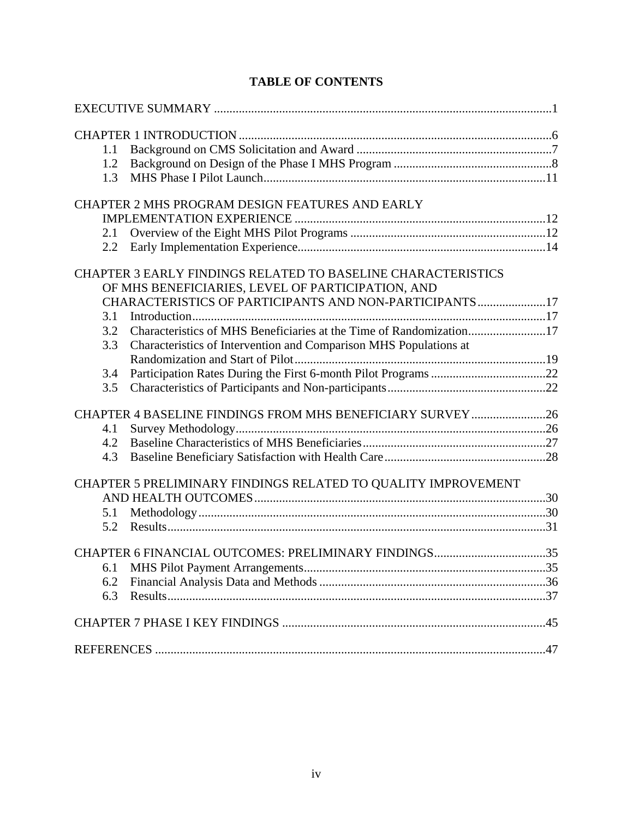| 1.1 |                                                                     |  |
|-----|---------------------------------------------------------------------|--|
| 1.2 |                                                                     |  |
| 1.3 |                                                                     |  |
|     | CHAPTER 2 MHS PROGRAM DESIGN FEATURES AND EARLY                     |  |
|     |                                                                     |  |
| 2.1 |                                                                     |  |
| 2.2 |                                                                     |  |
|     |                                                                     |  |
|     | <b>CHAPTER 3 EARLY FINDINGS RELATED TO BASELINE CHARACTERISTICS</b> |  |
|     | OF MHS BENEFICIARIES, LEVEL OF PARTICIPATION, AND                   |  |
|     | CHARACTERISTICS OF PARTICIPANTS AND NON-PARTICIPANTS17              |  |
| 3.1 |                                                                     |  |
| 3.2 | Characteristics of MHS Beneficiaries at the Time of Randomization17 |  |
| 3.3 | Characteristics of Intervention and Comparison MHS Populations at   |  |
|     |                                                                     |  |
| 3.4 |                                                                     |  |
| 3.5 |                                                                     |  |
|     | CHAPTER 4 BASELINE FINDINGS FROM MHS BENEFICIARY SURVEY26           |  |
| 4.1 |                                                                     |  |
| 4.2 |                                                                     |  |
| 4.3 |                                                                     |  |
|     |                                                                     |  |
|     | CHAPTER 5 PRELIMINARY FINDINGS RELATED TO QUALITY IMPROVEMENT       |  |
| 5.1 |                                                                     |  |
| 5.2 |                                                                     |  |
|     |                                                                     |  |
|     | CHAPTER 6 FINANCIAL OUTCOMES: PRELIMINARY FINDINGS35                |  |
| 6.1 |                                                                     |  |
| 6.2 |                                                                     |  |
| 6.3 |                                                                     |  |
|     |                                                                     |  |
|     |                                                                     |  |
|     |                                                                     |  |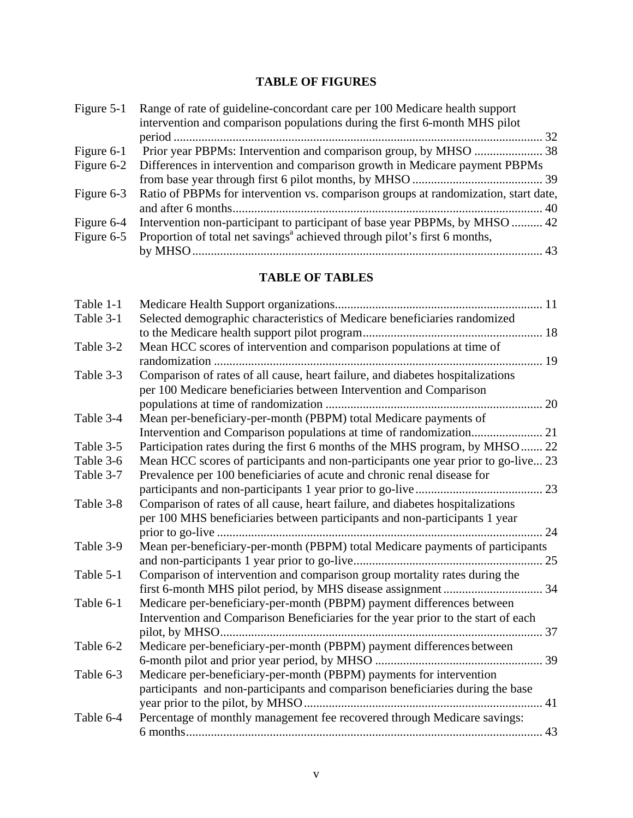# **TABLE OF FIGURES**

| Figure $5-1$ | Range of rate of guideline-concordant care per 100 Medicare health support                     |
|--------------|------------------------------------------------------------------------------------------------|
|              | intervention and comparison populations during the first 6-month MHS pilot                     |
|              |                                                                                                |
| Figure $6-1$ |                                                                                                |
| Figure $6-2$ | Differences in intervention and comparison growth in Medicare payment PBPMs                    |
|              |                                                                                                |
|              | Figure 6-3 Ratio of PBPMs for intervention vs. comparison groups at randomization, start date, |
|              |                                                                                                |
| Figure 6-4   | Intervention non-participant to participant of base year PBPMs, by MHSO  42                    |
| Figure 6-5   | Proportion of total net savings <sup>a</sup> achieved through pilot's first 6 months,          |
|              |                                                                                                |

# **TABLE OF TABLES**

| Table 1-1 |                                                                                   |    |
|-----------|-----------------------------------------------------------------------------------|----|
| Table 3-1 | Selected demographic characteristics of Medicare beneficiaries randomized         |    |
|           |                                                                                   |    |
| Table 3-2 | Mean HCC scores of intervention and comparison populations at time of             |    |
|           |                                                                                   |    |
| Table 3-3 | Comparison of rates of all cause, heart failure, and diabetes hospitalizations    |    |
|           | per 100 Medicare beneficiaries between Intervention and Comparison                |    |
|           |                                                                                   |    |
| Table 3-4 | Mean per-beneficiary-per-month (PBPM) total Medicare payments of                  |    |
|           |                                                                                   |    |
| Table 3-5 | Participation rates during the first 6 months of the MHS program, by MHSO  22     |    |
| Table 3-6 | Mean HCC scores of participants and non-participants one year prior to go-live 23 |    |
| Table 3-7 | Prevalence per 100 beneficiaries of acute and chronic renal disease for           |    |
|           |                                                                                   |    |
| Table 3-8 | Comparison of rates of all cause, heart failure, and diabetes hospitalizations    |    |
|           | per 100 MHS beneficiaries between participants and non-participants 1 year        |    |
|           |                                                                                   |    |
| Table 3-9 | Mean per-beneficiary-per-month (PBPM) total Medicare payments of participants     |    |
|           |                                                                                   |    |
| Table 5-1 | Comparison of intervention and comparison group mortality rates during the        |    |
|           |                                                                                   |    |
| Table 6-1 | Medicare per-beneficiary-per-month (PBPM) payment differences between             |    |
|           | Intervention and Comparison Beneficiaries for the year prior to the start of each |    |
|           |                                                                                   | 37 |
| Table 6-2 | Medicare per-beneficiary-per-month (PBPM) payment differences between             |    |
|           |                                                                                   |    |
| Table 6-3 | Medicare per-beneficiary-per-month (PBPM) payments for intervention               |    |
|           | participants and non-participants and comparison beneficiaries during the base    |    |
|           |                                                                                   |    |
| Table 6-4 | Percentage of monthly management fee recovered through Medicare savings:          |    |
|           |                                                                                   |    |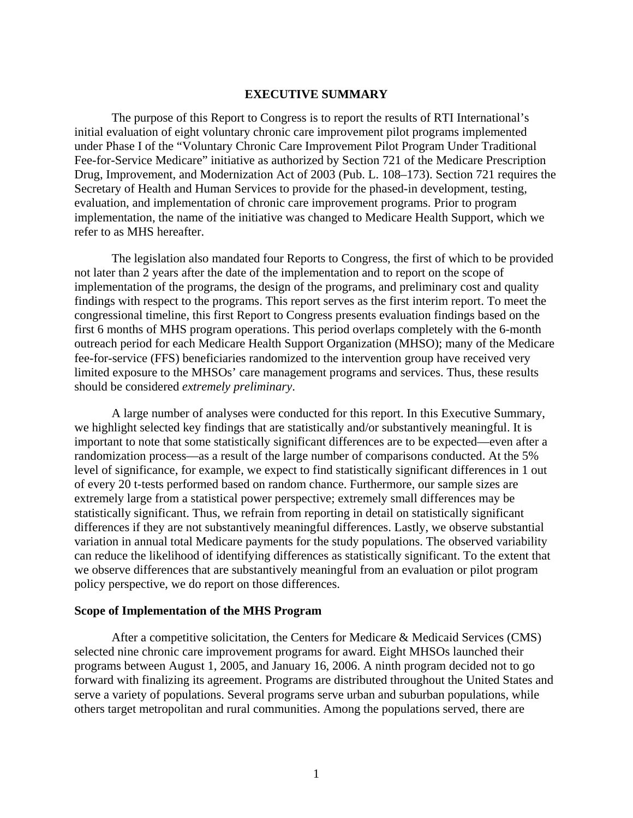#### **EXECUTIVE SUMMARY**

<span id="page-5-0"></span>The purpose of this Report to Congress is to report the results of RTI International's initial evaluation of eight voluntary chronic care improvement pilot programs implemented under Phase I of the "Voluntary Chronic Care Improvement Pilot Program Under Traditional Fee-for-Service Medicare" initiative as authorized by Section 721 of the Medicare Prescription Drug, Improvement, and Modernization Act of 2003 (Pub. L. 108–173). Section 721 requires the Secretary of Health and Human Services to provide for the phased-in development, testing, evaluation, and implementation of chronic care improvement programs. Prior to program implementation, the name of the initiative was changed to Medicare Health Support, which we refer to as MHS hereafter.

The legislation also mandated four Reports to Congress, the first of which to be provided not later than 2 years after the date of the implementation and to report on the scope of implementation of the programs, the design of the programs, and preliminary cost and quality findings with respect to the programs. This report serves as the first interim report. To meet the congressional timeline, this first Report to Congress presents evaluation findings based on the first 6 months of MHS program operations. This period overlaps completely with the 6-month outreach period for each Medicare Health Support Organization (MHSO); many of the Medicare fee-for-service (FFS) beneficiaries randomized to the intervention group have received very limited exposure to the MHSOs' care management programs and services. Thus, these results should be considered *extremely preliminary*.

A large number of analyses were conducted for this report. In this Executive Summary, we highlight selected key findings that are statistically and/or substantively meaningful. It is important to note that some statistically significant differences are to be expected—even after a randomization process—as a result of the large number of comparisons conducted. At the 5% level of significance, for example, we expect to find statistically significant differences in 1 out of every 20 t-tests performed based on random chance. Furthermore, our sample sizes are extremely large from a statistical power perspective; extremely small differences may be statistically significant. Thus, we refrain from reporting in detail on statistically significant differences if they are not substantively meaningful differences. Lastly, we observe substantial variation in annual total Medicare payments for the study populations. The observed variability can reduce the likelihood of identifying differences as statistically significant. To the extent that we observe differences that are substantively meaningful from an evaluation or pilot program policy perspective, we do report on those differences.

#### **Scope of Implementation of the MHS Program**

After a competitive solicitation, the Centers for Medicare & Medicaid Services (CMS) selected nine chronic care improvement programs for award. Eight MHSOs launched their programs between August 1, 2005, and January 16, 2006. A ninth program decided not to go forward with finalizing its agreement. Programs are distributed throughout the United States and serve a variety of populations. Several programs serve urban and suburban populations, while others target metropolitan and rural communities. Among the populations served, there are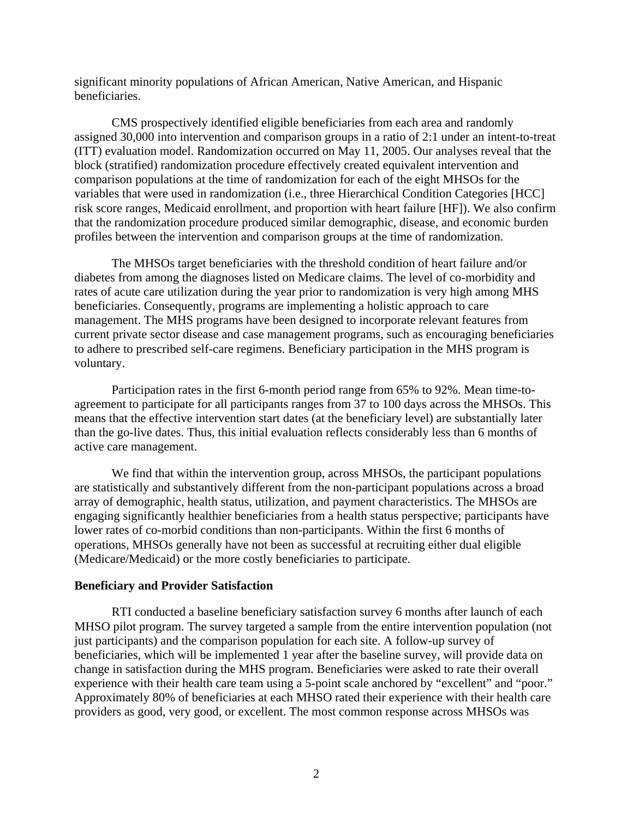significant minority populations of African American, Native American, and Hispanic beneficiaries.

CMS prospectively identified eligible beneficiaries from each area and randomly assigned 30,000 into intervention and comparison groups in a ratio of 2:1 under an intent-to-treat (ITT) evaluation model. Randomization occurred on May 11, 2005. Our analyses reveal that the block (stratified) randomization procedure effectively created equivalent intervention and comparison populations at the time of randomization for each of the eight MHSOs for the variables that were used in randomization (i.e., three Hierarchical Condition Categories [HCC] risk score ranges, Medicaid enrollment, and proportion with heart failure [HF]). We also confirm that the randomization procedure produced similar demographic, disease, and economic burden profiles between the intervention and comparison groups at the time of randomization.

The MHSOs target beneficiaries with the threshold condition of heart failure and/or diabetes from among the diagnoses listed on Medicare claims. The level of co-morbidity and rates of acute care utilization during the year prior to randomization is very high among MHS beneficiaries. Consequently, programs are implementing a holistic approach to care management. The MHS programs have been designed to incorporate relevant features from current private sector disease and case management programs, such as encouraging beneficiaries to adhere to prescribed self-care regimens. Beneficiary participation in the MHS program is voluntary.

Participation rates in the first 6-month period range from 65% to 92%. Mean time-toagreement to participate for all participants ranges from 37 to 100 days across the MHSOs. This means that the effective intervention start dates (at the beneficiary level) are substantially later than the go-live dates. Thus, this initial evaluation reflects considerably less than 6 months of active care management.

We find that within the intervention group, across MHSOs, the participant populations are statistically and substantively different from the non-participant populations across a broad array of demographic, health status, utilization, and payment characteristics. The MHSOs are engaging significantly healthier beneficiaries from a health status perspective; participants have lower rates of co-morbid conditions than non-participants. Within the first 6 months of operations, MHSOs generally have not been as successful at recruiting either dual eligible (Medicare/Medicaid) or the more costly beneficiaries to participate.

#### **Beneficiary and Provider Satisfaction**

RTI conducted a baseline beneficiary satisfaction survey 6 months after launch of each MHSO pilot program. The survey targeted a sample from the entire intervention population (not just participants) and the comparison population for each site. A follow-up survey of beneficiaries, which will be implemented 1 year after the baseline survey, will provide data on change in satisfaction during the MHS program. Beneficiaries were asked to rate their overall experience with their health care team using a 5-point scale anchored by "excellent" and "poor." Approximately 80% of beneficiaries at each MHSO rated their experience with their health care providers as good, very good, or excellent. The most common response across MHSOs was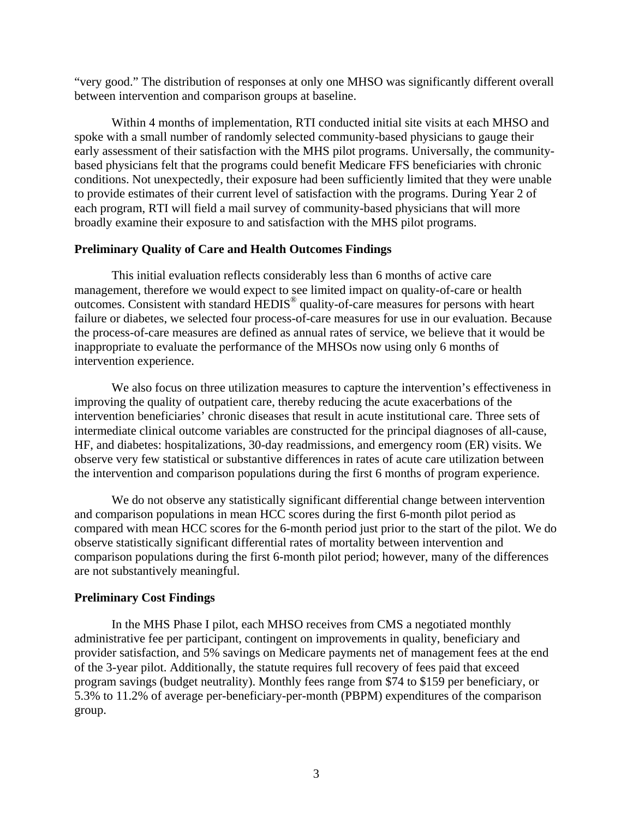"very good." The distribution of responses at only one MHSO was significantly different overall between intervention and comparison groups at baseline.

Within 4 months of implementation, RTI conducted initial site visits at each MHSO and spoke with a small number of randomly selected community-based physicians to gauge their early assessment of their satisfaction with the MHS pilot programs. Universally, the communitybased physicians felt that the programs could benefit Medicare FFS beneficiaries with chronic conditions. Not unexpectedly, their exposure had been sufficiently limited that they were unable to provide estimates of their current level of satisfaction with the programs. During Year 2 of each program, RTI will field a mail survey of community-based physicians that will more broadly examine their exposure to and satisfaction with the MHS pilot programs.

# **Preliminary Quality of Care and Health Outcomes Findings**

This initial evaluation reflects considerably less than 6 months of active care management, therefore we would expect to see limited impact on quality-of-care or health outcomes. Consistent with standard HEDIS® quality-of-care measures for persons with heart failure or diabetes, we selected four process-of-care measures for use in our evaluation. Because the process-of-care measures are defined as annual rates of service, we believe that it would be inappropriate to evaluate the performance of the MHSOs now using only 6 months of intervention experience.

We also focus on three utilization measures to capture the intervention's effectiveness in improving the quality of outpatient care, thereby reducing the acute exacerbations of the intervention beneficiaries' chronic diseases that result in acute institutional care. Three sets of intermediate clinical outcome variables are constructed for the principal diagnoses of all-cause, HF, and diabetes: hospitalizations, 30-day readmissions, and emergency room (ER) visits. We observe very few statistical or substantive differences in rates of acute care utilization between the intervention and comparison populations during the first 6 months of program experience.

We do not observe any statistically significant differential change between intervention and comparison populations in mean HCC scores during the first 6-month pilot period as compared with mean HCC scores for the 6-month period just prior to the start of the pilot. We do observe statistically significant differential rates of mortality between intervention and comparison populations during the first 6-month pilot period; however, many of the differences are not substantively meaningful.

# **Preliminary Cost Findings**

In the MHS Phase I pilot, each MHSO receives from CMS a negotiated monthly administrative fee per participant, contingent on improvements in quality, beneficiary and provider satisfaction, and 5% savings on Medicare payments net of management fees at the end of the 3-year pilot. Additionally, the statute requires full recovery of fees paid that exceed program savings (budget neutrality). Monthly fees range from \$74 to \$159 per beneficiary, or 5.3% to 11.2% of average per-beneficiary-per-month (PBPM) expenditures of the comparison group.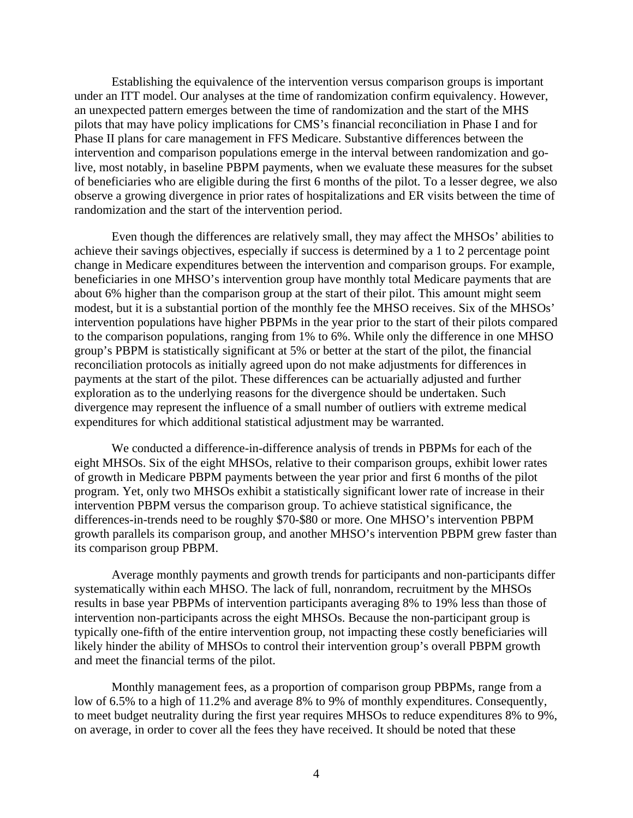Establishing the equivalence of the intervention versus comparison groups is important under an ITT model. Our analyses at the time of randomization confirm equivalency. However, an unexpected pattern emerges between the time of randomization and the start of the MHS pilots that may have policy implications for CMS's financial reconciliation in Phase I and for Phase II plans for care management in FFS Medicare. Substantive differences between the intervention and comparison populations emerge in the interval between randomization and golive, most notably, in baseline PBPM payments, when we evaluate these measures for the subset of beneficiaries who are eligible during the first 6 months of the pilot. To a lesser degree, we also observe a growing divergence in prior rates of hospitalizations and ER visits between the time of randomization and the start of the intervention period.

Even though the differences are relatively small, they may affect the MHSOs' abilities to achieve their savings objectives, especially if success is determined by a 1 to 2 percentage point change in Medicare expenditures between the intervention and comparison groups. For example, beneficiaries in one MHSO's intervention group have monthly total Medicare payments that are about 6% higher than the comparison group at the start of their pilot. This amount might seem modest, but it is a substantial portion of the monthly fee the MHSO receives. Six of the MHSOs' intervention populations have higher PBPMs in the year prior to the start of their pilots compared to the comparison populations, ranging from 1% to 6%. While only the difference in one MHSO group's PBPM is statistically significant at 5% or better at the start of the pilot, the financial reconciliation protocols as initially agreed upon do not make adjustments for differences in payments at the start of the pilot. These differences can be actuarially adjusted and further exploration as to the underlying reasons for the divergence should be undertaken. Such divergence may represent the influence of a small number of outliers with extreme medical expenditures for which additional statistical adjustment may be warranted.

We conducted a difference-in-difference analysis of trends in PBPMs for each of the eight MHSOs. Six of the eight MHSOs, relative to their comparison groups, exhibit lower rates of growth in Medicare PBPM payments between the year prior and first 6 months of the pilot program. Yet, only two MHSOs exhibit a statistically significant lower rate of increase in their intervention PBPM versus the comparison group. To achieve statistical significance, the differences-in-trends need to be roughly \$70-\$80 or more. One MHSO's intervention PBPM growth parallels its comparison group, and another MHSO's intervention PBPM grew faster than its comparison group PBPM.

Average monthly payments and growth trends for participants and non-participants differ systematically within each MHSO. The lack of full, nonrandom, recruitment by the MHSOs results in base year PBPMs of intervention participants averaging 8% to 19% less than those of intervention non-participants across the eight MHSOs. Because the non-participant group is typically one-fifth of the entire intervention group, not impacting these costly beneficiaries will likely hinder the ability of MHSOs to control their intervention group's overall PBPM growth and meet the financial terms of the pilot.

Monthly management fees, as a proportion of comparison group PBPMs, range from a low of 6.5% to a high of 11.2% and average 8% to 9% of monthly expenditures. Consequently, to meet budget neutrality during the first year requires MHSOs to reduce expenditures 8% to 9%, on average, in order to cover all the fees they have received. It should be noted that these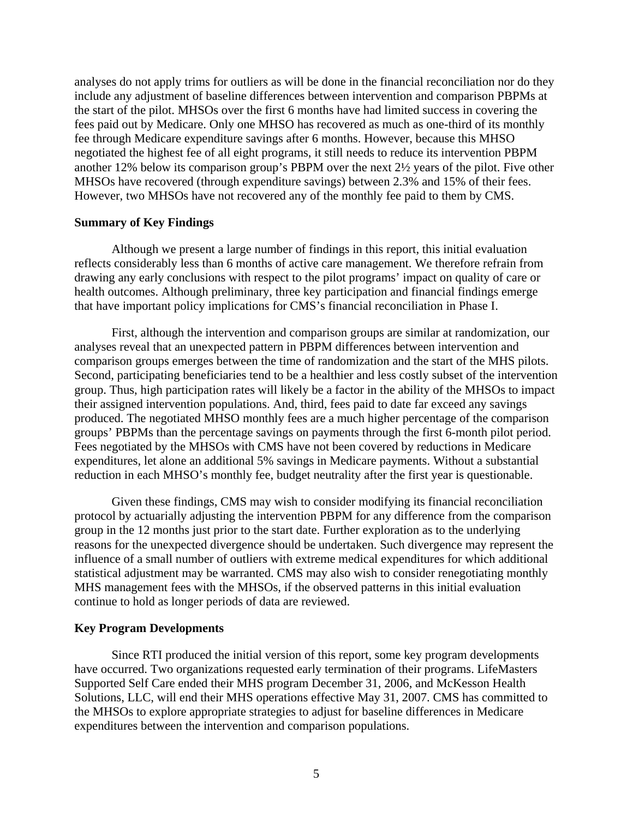analyses do not apply trims for outliers as will be done in the financial reconciliation nor do they include any adjustment of baseline differences between intervention and comparison PBPMs at the start of the pilot. MHSOs over the first 6 months have had limited success in covering the fees paid out by Medicare. Only one MHSO has recovered as much as one-third of its monthly fee through Medicare expenditure savings after 6 months. However, because this MHSO negotiated the highest fee of all eight programs, it still needs to reduce its intervention PBPM another 12% below its comparison group's PBPM over the next 2½ years of the pilot. Five other MHSOs have recovered (through expenditure savings) between 2.3% and 15% of their fees. However, two MHSOs have not recovered any of the monthly fee paid to them by CMS.

#### **Summary of Key Findings**

Although we present a large number of findings in this report, this initial evaluation reflects considerably less than 6 months of active care management. We therefore refrain from drawing any early conclusions with respect to the pilot programs' impact on quality of care or health outcomes. Although preliminary, three key participation and financial findings emerge that have important policy implications for CMS's financial reconciliation in Phase I.

First, although the intervention and comparison groups are similar at randomization, our analyses reveal that an unexpected pattern in PBPM differences between intervention and comparison groups emerges between the time of randomization and the start of the MHS pilots. Second, participating beneficiaries tend to be a healthier and less costly subset of the intervention group. Thus, high participation rates will likely be a factor in the ability of the MHSOs to impact their assigned intervention populations. And, third, fees paid to date far exceed any savings produced. The negotiated MHSO monthly fees are a much higher percentage of the comparison groups' PBPMs than the percentage savings on payments through the first 6-month pilot period. Fees negotiated by the MHSOs with CMS have not been covered by reductions in Medicare expenditures, let alone an additional 5% savings in Medicare payments. Without a substantial reduction in each MHSO's monthly fee, budget neutrality after the first year is questionable.

Given these findings, CMS may wish to consider modifying its financial reconciliation protocol by actuarially adjusting the intervention PBPM for any difference from the comparison group in the 12 months just prior to the start date. Further exploration as to the underlying reasons for the unexpected divergence should be undertaken. Such divergence may represent the influence of a small number of outliers with extreme medical expenditures for which additional statistical adjustment may be warranted. CMS may also wish to consider renegotiating monthly MHS management fees with the MHSOs, if the observed patterns in this initial evaluation continue to hold as longer periods of data are reviewed.

#### **Key Program Developments**

Since RTI produced the initial version of this report, some key program developments have occurred. Two organizations requested early termination of their programs. LifeMasters Supported Self Care ended their MHS program December 31, 2006, and McKesson Health Solutions, LLC, will end their MHS operations effective May 31, 2007. CMS has committed to the MHSOs to explore appropriate strategies to adjust for baseline differences in Medicare expenditures between the intervention and comparison populations.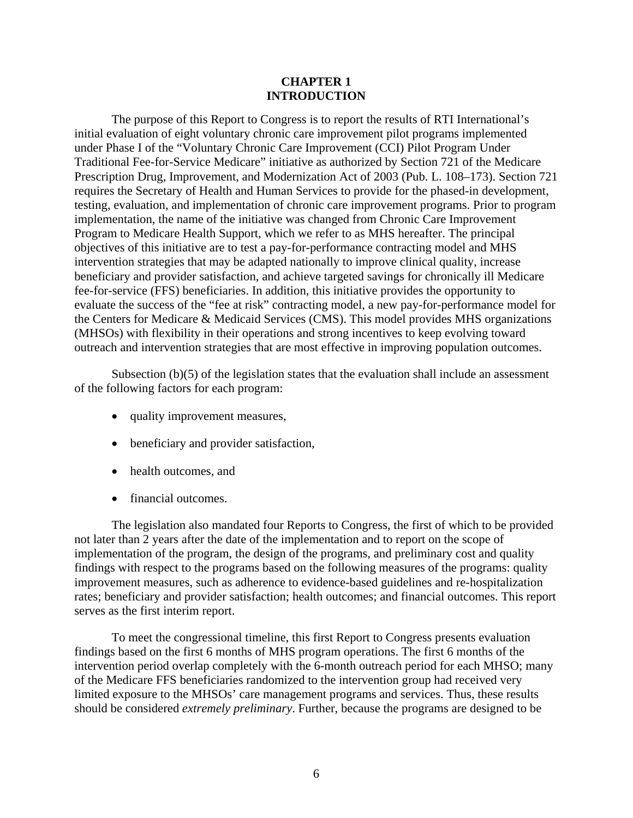#### **CHAPTER 1 INTRODUCTION**

<span id="page-10-0"></span>The purpose of this Report to Congress is to report the results of RTI International's initial evaluation of eight voluntary chronic care improvement pilot programs implemented under Phase I of the "Voluntary Chronic Care Improvement (CCI) Pilot Program Under Traditional Fee-for-Service Medicare" initiative as authorized by Section 721 of the Medicare Prescription Drug, Improvement, and Modernization Act of 2003 (Pub. L. 108–173). Section 721 requires the Secretary of Health and Human Services to provide for the phased-in development, testing, evaluation, and implementation of chronic care improvement programs. Prior to program implementation, the name of the initiative was changed from Chronic Care Improvement Program to Medicare Health Support, which we refer to as MHS hereafter. The principal objectives of this initiative are to test a pay-for-performance contracting model and MHS intervention strategies that may be adapted nationally to improve clinical quality, increase beneficiary and provider satisfaction, and achieve targeted savings for chronically ill Medicare fee-for-service (FFS) beneficiaries. In addition, this initiative provides the opportunity to evaluate the success of the "fee at risk" contracting model, a new pay-for-performance model for the Centers for Medicare & Medicaid Services (CMS). This model provides MHS organizations (MHSOs) with flexibility in their operations and strong incentives to keep evolving toward outreach and intervention strategies that are most effective in improving population outcomes.

Subsection (b)(5) of the legislation states that the evaluation shall include an assessment of the following factors for each program:

- quality improvement measures,
- beneficiary and provider satisfaction,
- health outcomes, and
- financial outcomes.

The legislation also mandated four Reports to Congress, the first of which to be provided not later than 2 years after the date of the implementation and to report on the scope of implementation of the program, the design of the programs, and preliminary cost and quality findings with respect to the programs based on the following measures of the programs: quality improvement measures, such as adherence to evidence-based guidelines and re-hospitalization rates; beneficiary and provider satisfaction; health outcomes; and financial outcomes. This report serves as the first interim report.

To meet the congressional timeline, this first Report to Congress presents evaluation findings based on the first 6 months of MHS program operations. The first 6 months of the intervention period overlap completely with the 6-month outreach period for each MHSO; many of the Medicare FFS beneficiaries randomized to the intervention group had received very limited exposure to the MHSOs' care management programs and services. Thus, these results should be considered *extremely preliminary*. Further, because the programs are designed to be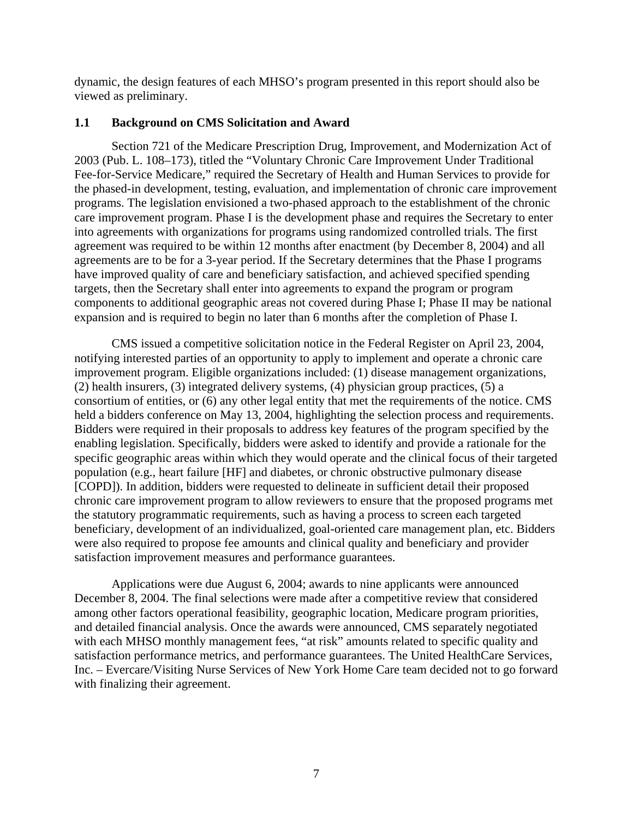<span id="page-11-0"></span>dynamic, the design features of each MHSO's program presented in this report should also be viewed as preliminary.

# **1.1 Background on CMS Solicitation and Award**

Section 721 of the Medicare Prescription Drug, Improvement, and Modernization Act of 2003 (Pub. L. 108–173), titled the "Voluntary Chronic Care Improvement Under Traditional Fee-for-Service Medicare," required the Secretary of Health and Human Services to provide for the phased-in development, testing, evaluation, and implementation of chronic care improvement programs. The legislation envisioned a two-phased approach to the establishment of the chronic care improvement program. Phase I is the development phase and requires the Secretary to enter into agreements with organizations for programs using randomized controlled trials. The first agreement was required to be within 12 months after enactment (by December 8, 2004) and all agreements are to be for a 3-year period. If the Secretary determines that the Phase I programs have improved quality of care and beneficiary satisfaction, and achieved specified spending targets, then the Secretary shall enter into agreements to expand the program or program components to additional geographic areas not covered during Phase I; Phase II may be national expansion and is required to begin no later than 6 months after the completion of Phase I.

CMS issued a competitive solicitation notice in the Federal Register on April 23, 2004, notifying interested parties of an opportunity to apply to implement and operate a chronic care improvement program. Eligible organizations included: (1) disease management organizations, (2) health insurers, (3) integrated delivery systems, (4) physician group practices, (5) a consortium of entities, or (6) any other legal entity that met the requirements of the notice. CMS held a bidders conference on May 13, 2004, highlighting the selection process and requirements. Bidders were required in their proposals to address key features of the program specified by the enabling legislation. Specifically, bidders were asked to identify and provide a rationale for the specific geographic areas within which they would operate and the clinical focus of their targeted population (e.g., heart failure [HF] and diabetes, or chronic obstructive pulmonary disease [COPD]). In addition, bidders were requested to delineate in sufficient detail their proposed chronic care improvement program to allow reviewers to ensure that the proposed programs met the statutory programmatic requirements, such as having a process to screen each targeted beneficiary, development of an individualized, goal-oriented care management plan, etc. Bidders were also required to propose fee amounts and clinical quality and beneficiary and provider satisfaction improvement measures and performance guarantees.

Applications were due August 6, 2004; awards to nine applicants were announced December 8, 2004. The final selections were made after a competitive review that considered among other factors operational feasibility, geographic location, Medicare program priorities, and detailed financial analysis. Once the awards were announced, CMS separately negotiated with each MHSO monthly management fees, "at risk" amounts related to specific quality and satisfaction performance metrics, and performance guarantees. The United HealthCare Services, Inc. – Evercare/Visiting Nurse Services of New York Home Care team decided not to go forward with finalizing their agreement.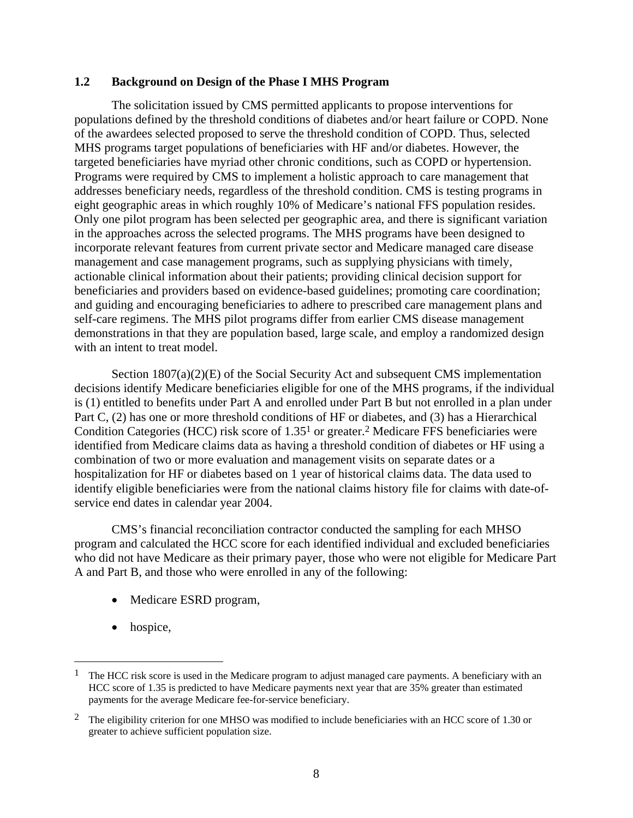#### <span id="page-12-0"></span>**1.2 Background on Design of the Phase I MHS Program**

The solicitation issued by CMS permitted applicants to propose interventions for populations defined by the threshold conditions of diabetes and/or heart failure or COPD. None of the awardees selected proposed to serve the threshold condition of COPD. Thus, selected MHS programs target populations of beneficiaries with HF and/or diabetes. However, the targeted beneficiaries have myriad other chronic conditions, such as COPD or hypertension. Programs were required by CMS to implement a holistic approach to care management that addresses beneficiary needs, regardless of the threshold condition. CMS is testing programs in eight geographic areas in which roughly 10% of Medicare's national FFS population resides. Only one pilot program has been selected per geographic area, and there is significant variation in the approaches across the selected programs. The MHS programs have been designed to incorporate relevant features from current private sector and Medicare managed care disease management and case management programs, such as supplying physicians with timely, actionable clinical information about their patients; providing clinical decision support for beneficiaries and providers based on evidence-based guidelines; promoting care coordination; and guiding and encouraging beneficiaries to adhere to prescribed care management plans and self-care regimens. The MHS pilot programs differ from earlier CMS disease management demonstrations in that they are population based, large scale, and employ a randomized design with an intent to treat model.

Section 1807(a)(2)(E) of the Social Security Act and subsequent CMS implementation decisions identify Medicare beneficiaries eligible for one of the MHS programs, if the individual is (1) entitled to benefits under Part A and enrolled under Part B but not enrolled in a plan under Part C, (2) has one or more threshold conditions of HF or diabetes, and (3) has a Hierarchical Condition Categories (HCC) risk score of 1.3[51](#page-12-1) or greater[.2](#page-12-2) Medicare FFS beneficiaries were identified from Medicare claims data as having a threshold condition of diabetes or HF using a combination of two or more evaluation and management visits on separate dates or a hospitalization for HF or diabetes based on 1 year of historical claims data. The data used to identify eligible beneficiaries were from the national claims history file for claims with date-ofservice end dates in calendar year 2004.

CMS's financial reconciliation contractor conducted the sampling for each MHSO program and calculated the HCC score for each identified individual and excluded beneficiaries who did not have Medicare as their primary payer, those who were not eligible for Medicare Part A and Part B, and those who were enrolled in any of the following:

- Medicare ESRD program,
- hospice,

 $\overline{a}$ 

<span id="page-12-1"></span><sup>1</sup> The HCC risk score is used in the Medicare program to adjust managed care payments. A beneficiary with an HCC score of 1.35 is predicted to have Medicare payments next year that are 35% greater than estimated payments for the average Medicare fee-for-service beneficiary.

<span id="page-12-2"></span><sup>&</sup>lt;sup>2</sup> The eligibility criterion for one MHSO was modified to include beneficiaries with an HCC score of 1.30 or greater to achieve sufficient population size.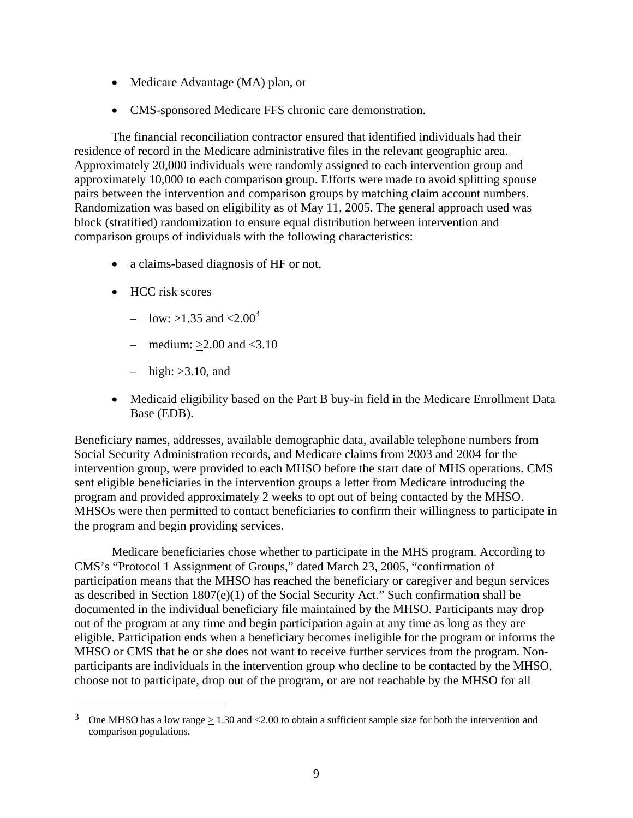- Medicare Advantage (MA) plan, or
- CMS-sponsored Medicare FFS chronic care demonstration.

The financial reconciliation contractor ensured that identified individuals had their residence of record in the Medicare administrative files in the relevant geographic area. Approximately 20,000 individuals were randomly assigned to each intervention group and approximately 10,000 to each comparison group. Efforts were made to avoid splitting spouse pairs between the intervention and comparison groups by matching claim account numbers. Randomization was based on eligibility as of May 11, 2005. The general approach used was block (stratified) randomization to ensure equal distribution between intervention and comparison groups of individuals with the following characteristics:

- a claims-based diagnosis of HF or not,
- HCC risk scores

<u>.</u>

- low:  $\geq$ 1.[3](#page-13-0)5 and <2.00<sup>3</sup>
- medium:  $>2.00$  and  $<3.10$
- high:  $\geq 3.10$ , and
- Medicaid eligibility based on the Part B buy-in field in the Medicare Enrollment Data Base (EDB).

Beneficiary names, addresses, available demographic data, available telephone numbers from Social Security Administration records, and Medicare claims from 2003 and 2004 for the intervention group, were provided to each MHSO before the start date of MHS operations. CMS sent eligible beneficiaries in the intervention groups a letter from Medicare introducing the program and provided approximately 2 weeks to opt out of being contacted by the MHSO. MHSOs were then permitted to contact beneficiaries to confirm their willingness to participate in the program and begin providing services.

Medicare beneficiaries chose whether to participate in the MHS program. According to CMS's "Protocol 1 Assignment of Groups," dated March 23, 2005, "confirmation of participation means that the MHSO has reached the beneficiary or caregiver and begun services as described in Section 1807(e)(1) of the Social Security Act." Such confirmation shall be documented in the individual beneficiary file maintained by the MHSO. Participants may drop out of the program at any time and begin participation again at any time as long as they are eligible. Participation ends when a beneficiary becomes ineligible for the program or informs the MHSO or CMS that he or she does not want to receive further services from the program. Nonparticipants are individuals in the intervention group who decline to be contacted by the MHSO, choose not to participate, drop out of the program, or are not reachable by the MHSO for all

<span id="page-13-0"></span><sup>&</sup>lt;sup>3</sup> One MHSO has a low range  $\geq 1.30$  and <2.00 to obtain a sufficient sample size for both the intervention and comparison populations.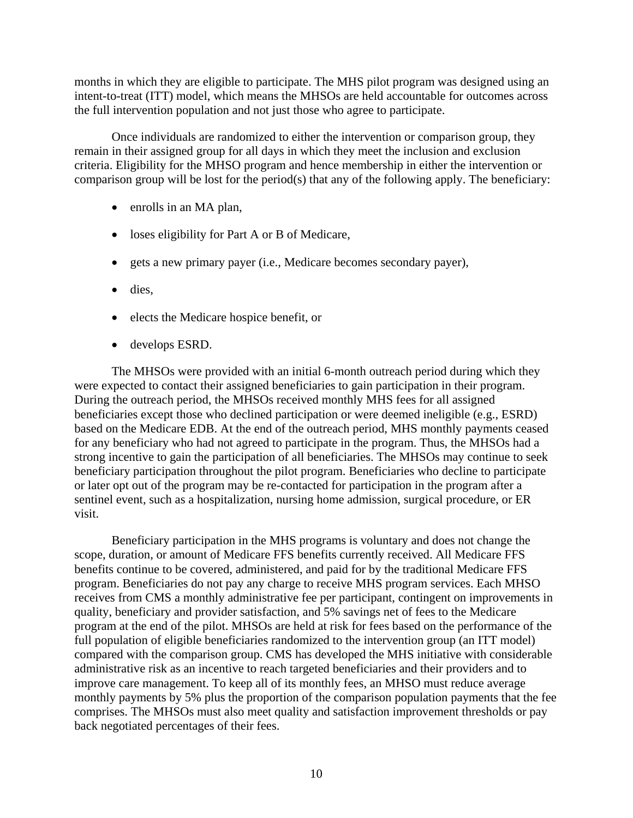months in which they are eligible to participate. The MHS pilot program was designed using an intent-to-treat (ITT) model, which means the MHSOs are held accountable for outcomes across the full intervention population and not just those who agree to participate.

Once individuals are randomized to either the intervention or comparison group, they remain in their assigned group for all days in which they meet the inclusion and exclusion criteria. Eligibility for the MHSO program and hence membership in either the intervention or comparison group will be lost for the period(s) that any of the following apply. The beneficiary:

- enrolls in an MA plan,
- loses eligibility for Part A or B of Medicare,
- gets a new primary payer (i.e., Medicare becomes secondary payer),
- dies,
- elects the Medicare hospice benefit, or
- develops ESRD.

The MHSOs were provided with an initial 6-month outreach period during which they were expected to contact their assigned beneficiaries to gain participation in their program. During the outreach period, the MHSOs received monthly MHS fees for all assigned beneficiaries except those who declined participation or were deemed ineligible (e.g., ESRD) based on the Medicare EDB. At the end of the outreach period, MHS monthly payments ceased for any beneficiary who had not agreed to participate in the program. Thus, the MHSOs had a strong incentive to gain the participation of all beneficiaries. The MHSOs may continue to seek beneficiary participation throughout the pilot program. Beneficiaries who decline to participate or later opt out of the program may be re-contacted for participation in the program after a sentinel event, such as a hospitalization, nursing home admission, surgical procedure, or ER visit.

Beneficiary participation in the MHS programs is voluntary and does not change the scope, duration, or amount of Medicare FFS benefits currently received. All Medicare FFS benefits continue to be covered, administered, and paid for by the traditional Medicare FFS program. Beneficiaries do not pay any charge to receive MHS program services. Each MHSO receives from CMS a monthly administrative fee per participant, contingent on improvements in quality, beneficiary and provider satisfaction, and 5% savings net of fees to the Medicare program at the end of the pilot. MHSOs are held at risk for fees based on the performance of the full population of eligible beneficiaries randomized to the intervention group (an ITT model) compared with the comparison group. CMS has developed the MHS initiative with considerable administrative risk as an incentive to reach targeted beneficiaries and their providers and to improve care management. To keep all of its monthly fees, an MHSO must reduce average monthly payments by 5% plus the proportion of the comparison population payments that the fee comprises. The MHSOs must also meet quality and satisfaction improvement thresholds or pay back negotiated percentages of their fees.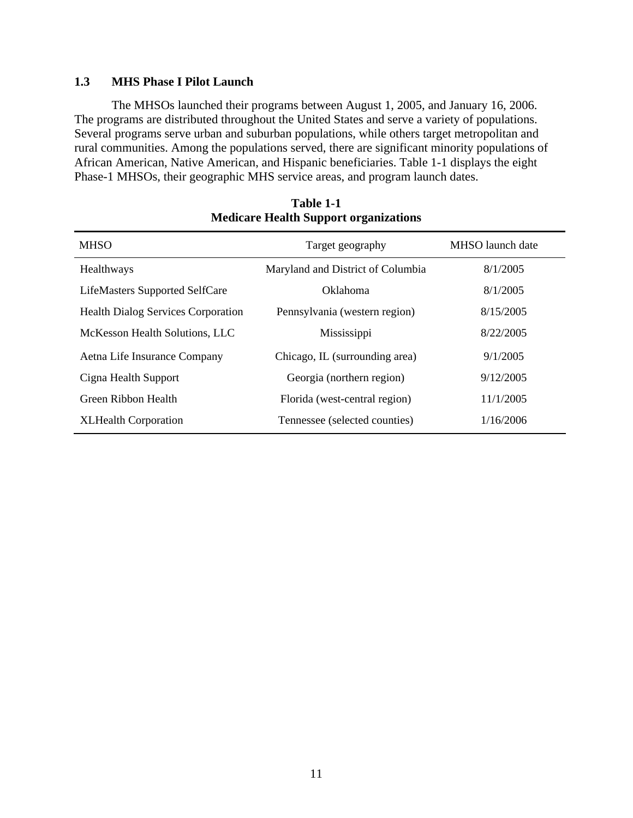# <span id="page-15-0"></span>**1.3 MHS Phase I Pilot Launch**

The MHSOs launched their programs between August 1, 2005, and January 16, 2006. The programs are distributed throughout the United States and serve a variety of populations. Several programs serve urban and suburban populations, while others target metropolitan and rural communities. Among the populations served, there are significant minority populations of African American, Native American, and Hispanic beneficiaries. Table 1-1 displays the eight Phase-1 MHSOs, their geographic MHS service areas, and program launch dates.

| <b>MHSO</b>                               | Target geography                  | MHSO launch date |
|-------------------------------------------|-----------------------------------|------------------|
| Healthways                                | Maryland and District of Columbia | 8/1/2005         |
| LifeMasters Supported SelfCare            | Oklahoma                          | 8/1/2005         |
| <b>Health Dialog Services Corporation</b> | Pennsylvania (western region)     | 8/15/2005        |
| McKesson Health Solutions, LLC            | Mississippi                       | 8/22/2005        |
| Aetna Life Insurance Company              | Chicago, IL (surrounding area)    | 9/1/2005         |
| Cigna Health Support                      | Georgia (northern region)         | 9/12/2005        |
| Green Ribbon Health                       | Florida (west-central region)     | 11/1/2005        |
| <b>XLHealth Corporation</b>               | Tennessee (selected counties)     | 1/16/2006        |

#### **Table 1-1 Medicare Health Support organizations**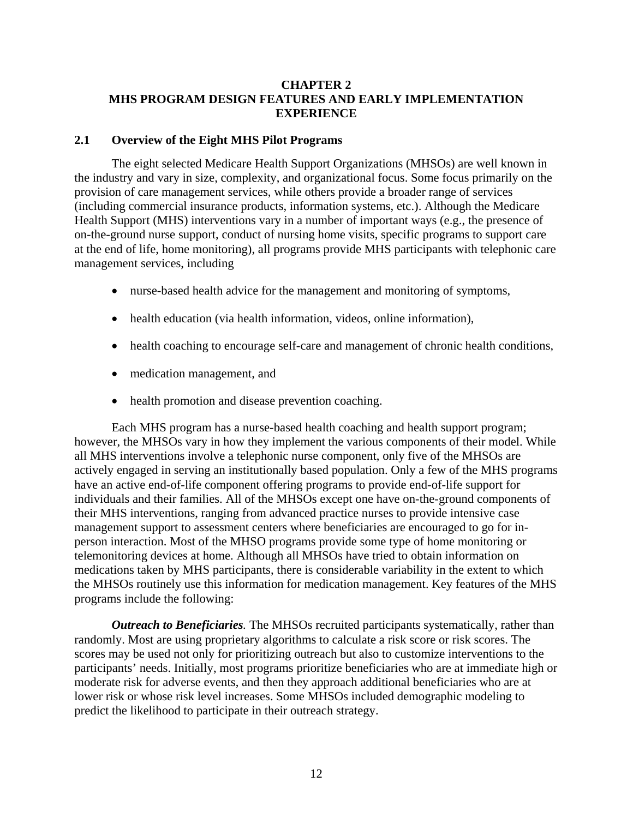# <span id="page-16-0"></span>**CHAPTER 2 MHS PROGRAM DESIGN FEATURES AND EARLY IMPLEMENTATION EXPERIENCE**

#### **2.1 Overview of the Eight MHS Pilot Programs**

The eight selected Medicare Health Support Organizations (MHSOs) are well known in the industry and vary in size, complexity, and organizational focus. Some focus primarily on the provision of care management services, while others provide a broader range of services (including commercial insurance products, information systems, etc.). Although the Medicare Health Support (MHS) interventions vary in a number of important ways (e.g., the presence of on-the-ground nurse support, conduct of nursing home visits, specific programs to support care at the end of life, home monitoring), all programs provide MHS participants with telephonic care management services, including

- nurse-based health advice for the management and monitoring of symptoms,
- health education (via health information, videos, online information),
- health coaching to encourage self-care and management of chronic health conditions,
- medication management, and
- health promotion and disease prevention coaching.

Each MHS program has a nurse-based health coaching and health support program; however, the MHSOs vary in how they implement the various components of their model. While all MHS interventions involve a telephonic nurse component, only five of the MHSOs are actively engaged in serving an institutionally based population. Only a few of the MHS programs have an active end-of-life component offering programs to provide end-of-life support for individuals and their families. All of the MHSOs except one have on-the-ground components of their MHS interventions, ranging from advanced practice nurses to provide intensive case management support to assessment centers where beneficiaries are encouraged to go for inperson interaction. Most of the MHSO programs provide some type of home monitoring or telemonitoring devices at home. Although all MHSOs have tried to obtain information on medications taken by MHS participants, there is considerable variability in the extent to which the MHSOs routinely use this information for medication management. Key features of the MHS programs include the following:

*Outreach to Beneficiaries.* The MHSOs recruited participants systematically, rather than randomly. Most are using proprietary algorithms to calculate a risk score or risk scores. The scores may be used not only for prioritizing outreach but also to customize interventions to the participants' needs. Initially, most programs prioritize beneficiaries who are at immediate high or moderate risk for adverse events, and then they approach additional beneficiaries who are at lower risk or whose risk level increases. Some MHSOs included demographic modeling to predict the likelihood to participate in their outreach strategy.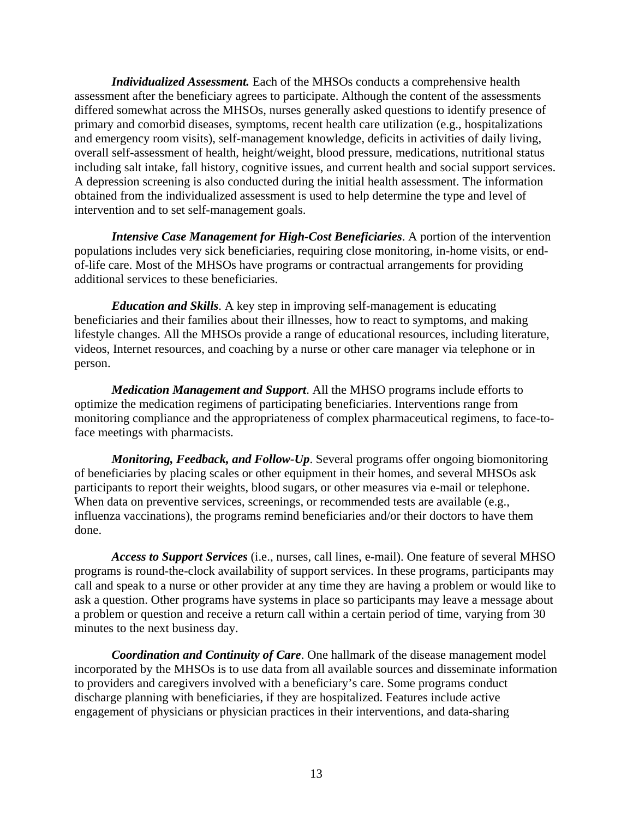*Individualized Assessment.* Each of the MHSOs conducts a comprehensive health assessment after the beneficiary agrees to participate. Although the content of the assessments differed somewhat across the MHSOs, nurses generally asked questions to identify presence of primary and comorbid diseases, symptoms, recent health care utilization (e.g., hospitalizations and emergency room visits), self-management knowledge, deficits in activities of daily living, overall self-assessment of health, height/weight, blood pressure, medications, nutritional status including salt intake, fall history, cognitive issues, and current health and social support services. A depression screening is also conducted during the initial health assessment. The information obtained from the individualized assessment is used to help determine the type and level of intervention and to set self-management goals.

*Intensive Case Management for High-Cost Beneficiaries*. A portion of the intervention populations includes very sick beneficiaries, requiring close monitoring, in-home visits, or endof-life care. Most of the MHSOs have programs or contractual arrangements for providing additional services to these beneficiaries.

*Education and Skills*. A key step in improving self-management is educating beneficiaries and their families about their illnesses, how to react to symptoms, and making lifestyle changes. All the MHSOs provide a range of educational resources, including literature, videos, Internet resources, and coaching by a nurse or other care manager via telephone or in person.

*Medication Management and Support*. All the MHSO programs include efforts to optimize the medication regimens of participating beneficiaries. Interventions range from monitoring compliance and the appropriateness of complex pharmaceutical regimens, to face-toface meetings with pharmacists.

*Monitoring, Feedback, and Follow-Up*. Several programs offer ongoing biomonitoring of beneficiaries by placing scales or other equipment in their homes, and several MHSOs ask participants to report their weights, blood sugars, or other measures via e-mail or telephone. When data on preventive services, screenings, or recommended tests are available (e.g., influenza vaccinations), the programs remind beneficiaries and/or their doctors to have them done.

*Access to Support Services* (i.e., nurses, call lines, e-mail). One feature of several MHSO programs is round-the-clock availability of support services. In these programs, participants may call and speak to a nurse or other provider at any time they are having a problem or would like to ask a question. Other programs have systems in place so participants may leave a message about a problem or question and receive a return call within a certain period of time, varying from 30 minutes to the next business day.

*Coordination and Continuity of Care*. One hallmark of the disease management model incorporated by the MHSOs is to use data from all available sources and disseminate information to providers and caregivers involved with a beneficiary's care. Some programs conduct discharge planning with beneficiaries, if they are hospitalized. Features include active engagement of physicians or physician practices in their interventions, and data-sharing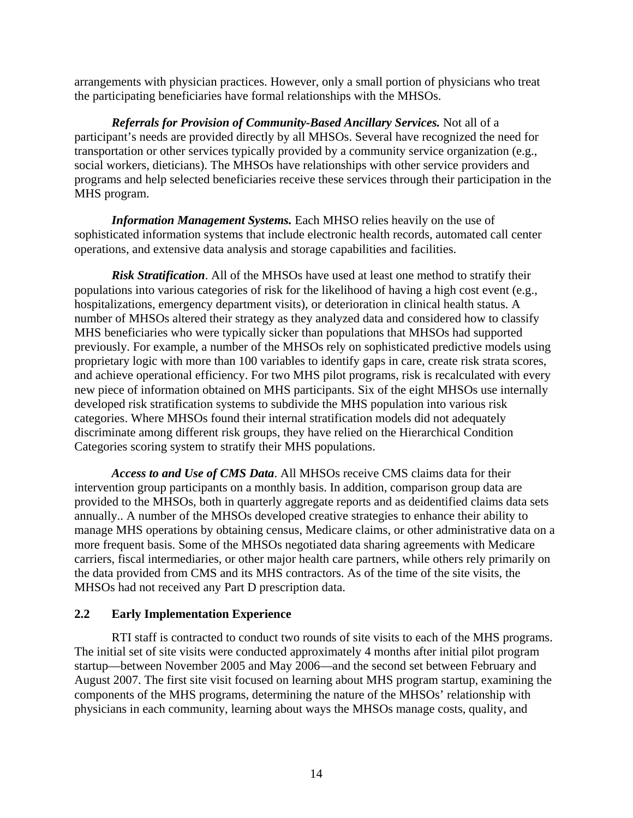<span id="page-18-0"></span>arrangements with physician practices. However, only a small portion of physicians who treat the participating beneficiaries have formal relationships with the MHSOs.

*Referrals for Provision of Community-Based Ancillary Services.* Not all of a participant's needs are provided directly by all MHSOs. Several have recognized the need for transportation or other services typically provided by a community service organization (e.g., social workers, dieticians). The MHSOs have relationships with other service providers and programs and help selected beneficiaries receive these services through their participation in the MHS program.

*Information Management Systems.* Each MHSO relies heavily on the use of sophisticated information systems that include electronic health records, automated call center operations, and extensive data analysis and storage capabilities and facilities.

*Risk Stratification*. All of the MHSOs have used at least one method to stratify their populations into various categories of risk for the likelihood of having a high cost event (e.g., hospitalizations, emergency department visits), or deterioration in clinical health status. A number of MHSOs altered their strategy as they analyzed data and considered how to classify MHS beneficiaries who were typically sicker than populations that MHSOs had supported previously. For example, a number of the MHSOs rely on sophisticated predictive models using proprietary logic with more than 100 variables to identify gaps in care, create risk strata scores, and achieve operational efficiency. For two MHS pilot programs, risk is recalculated with every new piece of information obtained on MHS participants. Six of the eight MHSOs use internally developed risk stratification systems to subdivide the MHS population into various risk categories. Where MHSOs found their internal stratification models did not adequately discriminate among different risk groups, they have relied on the Hierarchical Condition Categories scoring system to stratify their MHS populations.

*Access to and Use of CMS Data*. All MHSOs receive CMS claims data for their intervention group participants on a monthly basis. In addition, comparison group data are provided to the MHSOs, both in quarterly aggregate reports and as deidentified claims data sets annually.. A number of the MHSOs developed creative strategies to enhance their ability to manage MHS operations by obtaining census, Medicare claims, or other administrative data on a more frequent basis. Some of the MHSOs negotiated data sharing agreements with Medicare carriers, fiscal intermediaries, or other major health care partners, while others rely primarily on the data provided from CMS and its MHS contractors. As of the time of the site visits, the MHSOs had not received any Part D prescription data.

# **2.2 Early Implementation Experience**

RTI staff is contracted to conduct two rounds of site visits to each of the MHS programs. The initial set of site visits were conducted approximately 4 months after initial pilot program startup—between November 2005 and May 2006—and the second set between February and August 2007. The first site visit focused on learning about MHS program startup, examining the components of the MHS programs, determining the nature of the MHSOs' relationship with physicians in each community, learning about ways the MHSOs manage costs, quality, and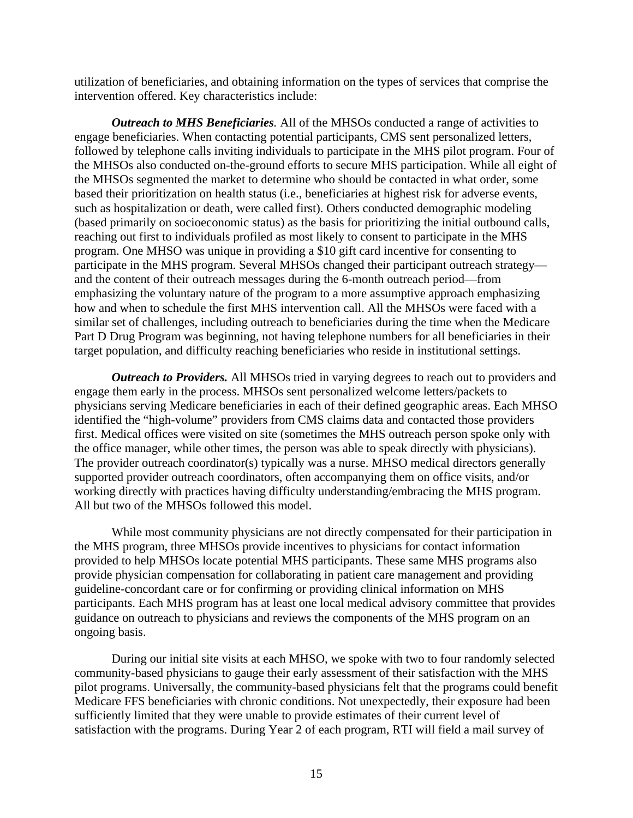utilization of beneficiaries, and obtaining information on the types of services that comprise the intervention offered. Key characteristics include:

*Outreach to MHS Beneficiaries.* All of the MHSOs conducted a range of activities to engage beneficiaries. When contacting potential participants, CMS sent personalized letters, followed by telephone calls inviting individuals to participate in the MHS pilot program. Four of the MHSOs also conducted on-the-ground efforts to secure MHS participation. While all eight of the MHSOs segmented the market to determine who should be contacted in what order, some based their prioritization on health status (i.e., beneficiaries at highest risk for adverse events, such as hospitalization or death, were called first). Others conducted demographic modeling (based primarily on socioeconomic status) as the basis for prioritizing the initial outbound calls, reaching out first to individuals profiled as most likely to consent to participate in the MHS program. One MHSO was unique in providing a \$10 gift card incentive for consenting to participate in the MHS program. Several MHSOs changed their participant outreach strategy and the content of their outreach messages during the 6-month outreach period—from emphasizing the voluntary nature of the program to a more assumptive approach emphasizing how and when to schedule the first MHS intervention call. All the MHSOs were faced with a similar set of challenges, including outreach to beneficiaries during the time when the Medicare Part D Drug Program was beginning, not having telephone numbers for all beneficiaries in their target population, and difficulty reaching beneficiaries who reside in institutional settings.

*Outreach to Providers.* All MHSOs tried in varying degrees to reach out to providers and engage them early in the process. MHSOs sent personalized welcome letters/packets to physicians serving Medicare beneficiaries in each of their defined geographic areas. Each MHSO identified the "high-volume" providers from CMS claims data and contacted those providers first. Medical offices were visited on site (sometimes the MHS outreach person spoke only with the office manager, while other times, the person was able to speak directly with physicians). The provider outreach coordinator(s) typically was a nurse. MHSO medical directors generally supported provider outreach coordinators, often accompanying them on office visits, and/or working directly with practices having difficulty understanding/embracing the MHS program. All but two of the MHSOs followed this model.

While most community physicians are not directly compensated for their participation in the MHS program, three MHSOs provide incentives to physicians for contact information provided to help MHSOs locate potential MHS participants. These same MHS programs also provide physician compensation for collaborating in patient care management and providing guideline-concordant care or for confirming or providing clinical information on MHS participants. Each MHS program has at least one local medical advisory committee that provides guidance on outreach to physicians and reviews the components of the MHS program on an ongoing basis.

During our initial site visits at each MHSO, we spoke with two to four randomly selected community-based physicians to gauge their early assessment of their satisfaction with the MHS pilot programs. Universally, the community-based physicians felt that the programs could benefit Medicare FFS beneficiaries with chronic conditions. Not unexpectedly, their exposure had been sufficiently limited that they were unable to provide estimates of their current level of satisfaction with the programs. During Year 2 of each program, RTI will field a mail survey of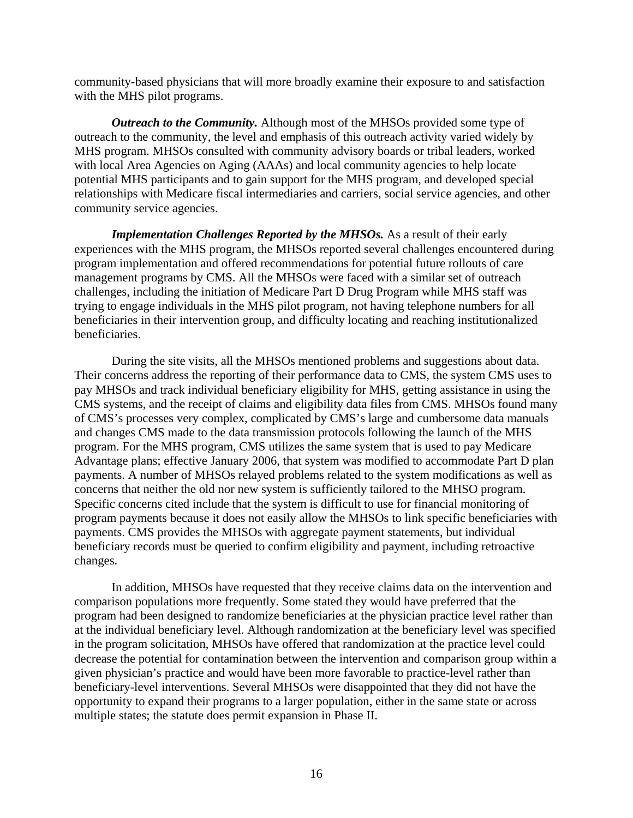community-based physicians that will more broadly examine their exposure to and satisfaction with the MHS pilot programs.

*Outreach to the Community.* Although most of the MHSOs provided some type of outreach to the community, the level and emphasis of this outreach activity varied widely by MHS program. MHSOs consulted with community advisory boards or tribal leaders, worked with local Area Agencies on Aging (AAAs) and local community agencies to help locate potential MHS participants and to gain support for the MHS program, and developed special relationships with Medicare fiscal intermediaries and carriers, social service agencies, and other community service agencies.

*Implementation Challenges Reported by the MHSOs.* As a result of their early experiences with the MHS program, the MHSOs reported several challenges encountered during program implementation and offered recommendations for potential future rollouts of care management programs by CMS. All the MHSOs were faced with a similar set of outreach challenges, including the initiation of Medicare Part D Drug Program while MHS staff was trying to engage individuals in the MHS pilot program, not having telephone numbers for all beneficiaries in their intervention group, and difficulty locating and reaching institutionalized beneficiaries.

During the site visits, all the MHSOs mentioned problems and suggestions about data. Their concerns address the reporting of their performance data to CMS, the system CMS uses to pay MHSOs and track individual beneficiary eligibility for MHS, getting assistance in using the CMS systems, and the receipt of claims and eligibility data files from CMS. MHSOs found many of CMS's processes very complex, complicated by CMS's large and cumbersome data manuals and changes CMS made to the data transmission protocols following the launch of the MHS program. For the MHS program, CMS utilizes the same system that is used to pay Medicare Advantage plans; effective January 2006, that system was modified to accommodate Part D plan payments. A number of MHSOs relayed problems related to the system modifications as well as concerns that neither the old nor new system is sufficiently tailored to the MHSO program. Specific concerns cited include that the system is difficult to use for financial monitoring of program payments because it does not easily allow the MHSOs to link specific beneficiaries with payments. CMS provides the MHSOs with aggregate payment statements, but individual beneficiary records must be queried to confirm eligibility and payment, including retroactive changes.

In addition, MHSOs have requested that they receive claims data on the intervention and comparison populations more frequently. Some stated they would have preferred that the program had been designed to randomize beneficiaries at the physician practice level rather than at the individual beneficiary level. Although randomization at the beneficiary level was specified in the program solicitation, MHSOs have offered that randomization at the practice level could decrease the potential for contamination between the intervention and comparison group within a given physician's practice and would have been more favorable to practice-level rather than beneficiary-level interventions. Several MHSOs were disappointed that they did not have the opportunity to expand their programs to a larger population, either in the same state or across multiple states; the statute does permit expansion in Phase II.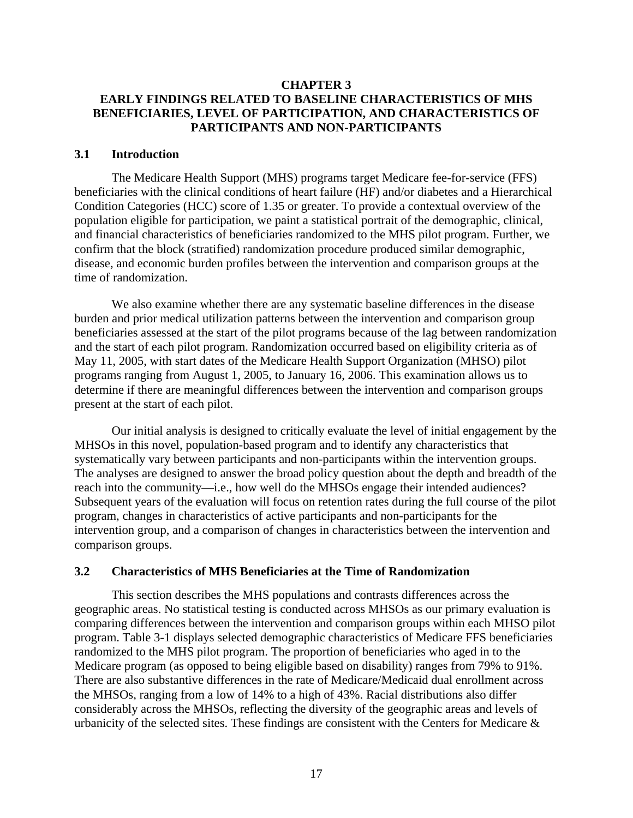# <span id="page-21-0"></span>**CHAPTER 3 EARLY FINDINGS RELATED TO BASELINE CHARACTERISTICS OF MHS BENEFICIARIES, LEVEL OF PARTICIPATION, AND CHARACTERISTICS OF PARTICIPANTS AND NON-PARTICIPANTS**

## **3.1 Introduction**

The Medicare Health Support (MHS) programs target Medicare fee-for-service (FFS) beneficiaries with the clinical conditions of heart failure (HF) and/or diabetes and a Hierarchical Condition Categories (HCC) score of 1.35 or greater. To provide a contextual overview of the population eligible for participation, we paint a statistical portrait of the demographic, clinical, and financial characteristics of beneficiaries randomized to the MHS pilot program. Further, we confirm that the block (stratified) randomization procedure produced similar demographic, disease, and economic burden profiles between the intervention and comparison groups at the time of randomization.

We also examine whether there are any systematic baseline differences in the disease burden and prior medical utilization patterns between the intervention and comparison group beneficiaries assessed at the start of the pilot programs because of the lag between randomization and the start of each pilot program. Randomization occurred based on eligibility criteria as of May 11, 2005, with start dates of the Medicare Health Support Organization (MHSO) pilot programs ranging from August 1, 2005, to January 16, 2006. This examination allows us to determine if there are meaningful differences between the intervention and comparison groups present at the start of each pilot.

Our initial analysis is designed to critically evaluate the level of initial engagement by the MHSOs in this novel, population-based program and to identify any characteristics that systematically vary between participants and non-participants within the intervention groups. The analyses are designed to answer the broad policy question about the depth and breadth of the reach into the community—i.e., how well do the MHSOs engage their intended audiences? Subsequent years of the evaluation will focus on retention rates during the full course of the pilot program, changes in characteristics of active participants and non-participants for the intervention group, and a comparison of changes in characteristics between the intervention and comparison groups.

# **3.2 Characteristics of MHS Beneficiaries at the Time of Randomization**

This section describes the MHS populations and contrasts differences across the geographic areas. No statistical testing is conducted across MHSOs as our primary evaluation is comparing differences between the intervention and comparison groups within each MHSO pilot program. Table 3-1 displays selected demographic characteristics of Medicare FFS beneficiaries randomized to the MHS pilot program. The proportion of beneficiaries who aged in to the Medicare program (as opposed to being eligible based on disability) ranges from 79% to 91%. There are also substantive differences in the rate of Medicare/Medicaid dual enrollment across the MHSOs, ranging from a low of 14% to a high of 43%. Racial distributions also differ considerably across the MHSOs, reflecting the diversity of the geographic areas and levels of urbanicity of the selected sites. These findings are consistent with the Centers for Medicare &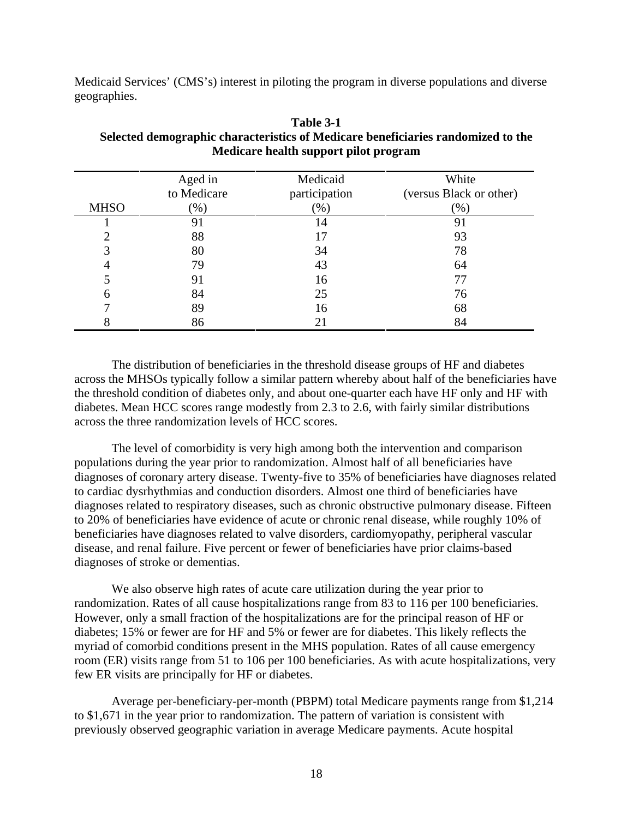<span id="page-22-0"></span>Medicaid Services' (CMS's) interest in piloting the program in diverse populations and diverse geographies.

|             | Aged in<br>to Medicare | Medicaid<br>participation | White<br>(versus Black or other) |
|-------------|------------------------|---------------------------|----------------------------------|
| <b>MHSO</b> | $(\% )$                | $(\%)$                    | $(\%)$                           |
|             | 91                     | 14                        | 91                               |
| ◠           | 88                     | 17                        | 93                               |
| 3           | 80                     | 34                        | 78                               |
|             | 79                     | 43                        | 64                               |
|             | 91                     | 16                        | 77                               |
| 6           | 84                     | 25                        | 76                               |
|             | 89                     | 16                        | 68                               |
|             | 86                     | 21                        | 84                               |

### **Table 3-1 Selected demographic characteristics of Medicare beneficiaries randomized to the Medicare health support pilot program**

The distribution of beneficiaries in the threshold disease groups of HF and diabetes across the MHSOs typically follow a similar pattern whereby about half of the beneficiaries have the threshold condition of diabetes only, and about one-quarter each have HF only and HF with diabetes. Mean HCC scores range modestly from 2.3 to 2.6, with fairly similar distributions across the three randomization levels of HCC scores.

The level of comorbidity is very high among both the intervention and comparison populations during the year prior to randomization. Almost half of all beneficiaries have diagnoses of coronary artery disease. Twenty-five to 35% of beneficiaries have diagnoses related to cardiac dysrhythmias and conduction disorders. Almost one third of beneficiaries have diagnoses related to respiratory diseases, such as chronic obstructive pulmonary disease. Fifteen to 20% of beneficiaries have evidence of acute or chronic renal disease, while roughly 10% of beneficiaries have diagnoses related to valve disorders, cardiomyopathy, peripheral vascular disease, and renal failure. Five percent or fewer of beneficiaries have prior claims-based diagnoses of stroke or dementias.

We also observe high rates of acute care utilization during the year prior to randomization. Rates of all cause hospitalizations range from 83 to 116 per 100 beneficiaries. However, only a small fraction of the hospitalizations are for the principal reason of HF or diabetes; 15% or fewer are for HF and 5% or fewer are for diabetes. This likely reflects the myriad of comorbid conditions present in the MHS population. Rates of all cause emergency room (ER) visits range from 51 to 106 per 100 beneficiaries. As with acute hospitalizations, very few ER visits are principally for HF or diabetes.

Average per-beneficiary-per-month (PBPM) total Medicare payments range from \$1,214 to \$1,671 in the year prior to randomization. The pattern of variation is consistent with previously observed geographic variation in average Medicare payments. Acute hospital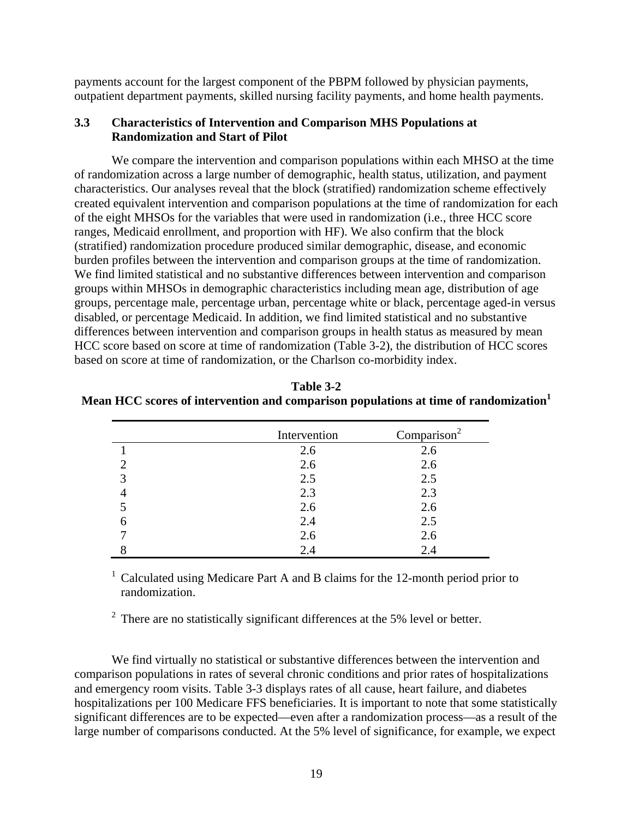<span id="page-23-0"></span>payments account for the largest component of the PBPM followed by physician payments, outpatient department payments, skilled nursing facility payments, and home health payments.

#### **3.3 Characteristics of Intervention and Comparison MHS Populations at Randomization and Start of Pilot**

We compare the intervention and comparison populations within each MHSO at the time of randomization across a large number of demographic, health status, utilization, and payment characteristics. Our analyses reveal that the block (stratified) randomization scheme effectively created equivalent intervention and comparison populations at the time of randomization for each of the eight MHSOs for the variables that were used in randomization (i.e., three HCC score ranges, Medicaid enrollment, and proportion with HF). We also confirm that the block (stratified) randomization procedure produced similar demographic, disease, and economic burden profiles between the intervention and comparison groups at the time of randomization. We find limited statistical and no substantive differences between intervention and comparison groups within MHSOs in demographic characteristics including mean age, distribution of age groups, percentage male, percentage urban, percentage white or black, percentage aged-in versus disabled, or percentage Medicaid. In addition, we find limited statistical and no substantive differences between intervention and comparison groups in health status as measured by mean HCC score based on score at time of randomization (Table 3-2), the distribution of HCC scores based on score at time of randomization, or the Charlson co-morbidity index.

| Table 3-2                                                                           |
|-------------------------------------------------------------------------------------|
| Mean HCC scores of intervention and comparison populations at time of randomization |

|             | Intervention | Comparison <sup>2</sup> |
|-------------|--------------|-------------------------|
|             | 2.6          | 2.6                     |
|             | 2.6          | 2.6                     |
| $\mathbf 3$ | 2.5          | 2.5                     |
|             | 2.3          | 2.3                     |
|             | 2.6          | 2.6                     |
|             | 2.4          | 2.5                     |
|             | 2.6          | 2.6                     |
|             | 2.4          | 2.4                     |

<sup>1</sup> Calculated using Medicare Part A and B claims for the 12-month period prior to randomization.

 $2$  There are no statistically significant differences at the 5% level or better.

We find virtually no statistical or substantive differences between the intervention and comparison populations in rates of several chronic conditions and prior rates of hospitalizations and emergency room visits. Table 3-3 displays rates of all cause, heart failure, and diabetes hospitalizations per 100 Medicare FFS beneficiaries. It is important to note that some statistically significant differences are to be expected—even after a randomization process—as a result of the large number of comparisons conducted. At the 5% level of significance, for example, we expect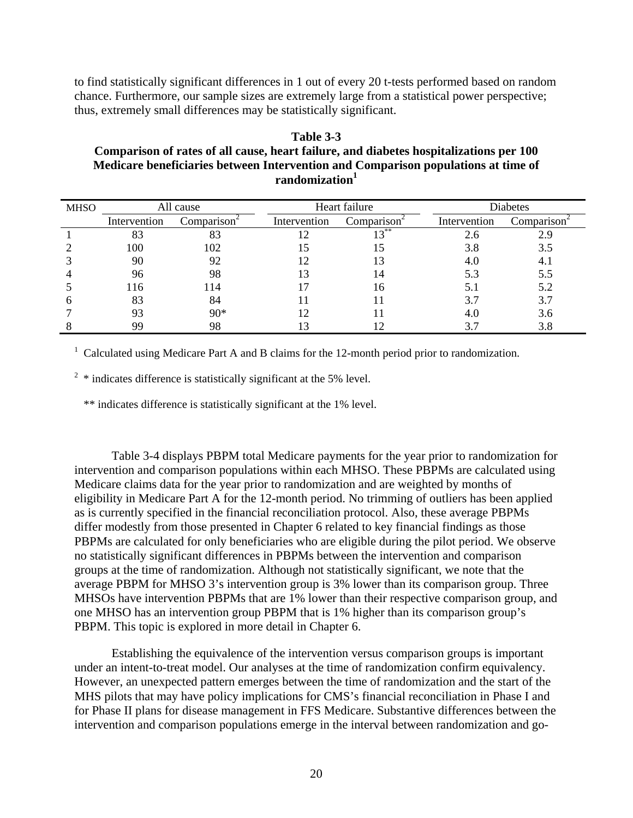<span id="page-24-0"></span>to find statistically significant differences in 1 out of every 20 t-tests performed based on random chance. Furthermore, our sample sizes are extremely large from a statistical power perspective; thus, extremely small differences may be statistically significant.

# **Table 3-3 Comparison of rates of all cause, heart failure, and diabetes hospitalizations per 100 Medicare beneficiaries between Intervention and Comparison populations at time of randomization1**

| <b>MHSO</b> | All cause    |                         | Heart failure |                         | Diabetes     |                         |
|-------------|--------------|-------------------------|---------------|-------------------------|--------------|-------------------------|
|             | Intervention | Comparison <sup>2</sup> | Intervention  | Comparison <sup>*</sup> | Intervention | Comparison <sup>4</sup> |
|             | 83           | 83                      | 12            | $12^{**}$               | 2.6          |                         |
|             | 100          | 102                     |               |                         | 3.8          | 3.5                     |
|             | 90           | 92                      |               |                         | 4.0          | 4. I                    |
|             | 96           | 98                      | 13            |                         | 5.3          | 5.5                     |
|             | 116          | 114                     |               | 16                      | 5.1          | 5.2                     |
|             | 83           | 84                      |               |                         | 3.7          | 3.7                     |
|             | 93           | $90*$                   |               |                         | 4.0          | 3.6                     |
|             | 99           | 98                      | 13            |                         | 3.7          | 3.8                     |

<sup>1</sup> Calculated using Medicare Part A and B claims for the 12-month period prior to randomization.

 $2 *$  indicates difference is statistically significant at the 5% level.

\*\* indicates difference is statistically significant at the 1% level.

Table 3-4 displays PBPM total Medicare payments for the year prior to randomization for intervention and comparison populations within each MHSO. These PBPMs are calculated using Medicare claims data for the year prior to randomization and are weighted by months of eligibility in Medicare Part A for the 12-month period. No trimming of outliers has been applied as is currently specified in the financial reconciliation protocol. Also, these average PBPMs differ modestly from those presented in Chapter 6 related to key financial findings as those PBPMs are calculated for only beneficiaries who are eligible during the pilot period. We observe no statistically significant differences in PBPMs between the intervention and comparison groups at the time of randomization. Although not statistically significant, we note that the average PBPM for MHSO 3's intervention group is 3% lower than its comparison group. Three MHSOs have intervention PBPMs that are 1% lower than their respective comparison group, and one MHSO has an intervention group PBPM that is 1% higher than its comparison group's PBPM. This topic is explored in more detail in Chapter 6.

Establishing the equivalence of the intervention versus comparison groups is important under an intent-to-treat model. Our analyses at the time of randomization confirm equivalency. However, an unexpected pattern emerges between the time of randomization and the start of the MHS pilots that may have policy implications for CMS's financial reconciliation in Phase I and for Phase II plans for disease management in FFS Medicare. Substantive differences between the intervention and comparison populations emerge in the interval between randomization and go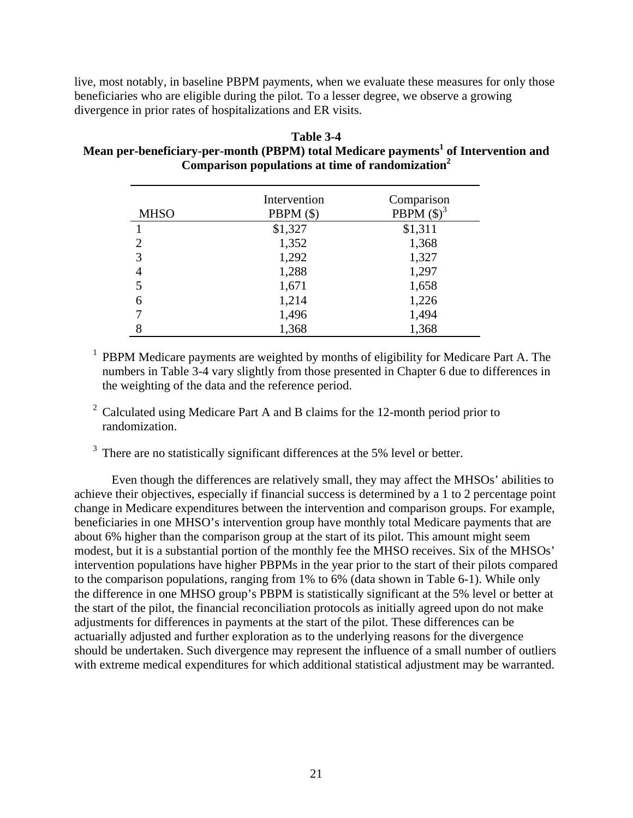<span id="page-25-0"></span>live, most notably, in baseline PBPM payments, when we evaluate these measures for only those beneficiaries who are eligible during the pilot. To a lesser degree, we observe a growing divergence in prior rates of hospitalizations and ER visits.

| Table 3-4                                                                                      |
|------------------------------------------------------------------------------------------------|
| Mean per-beneficiary-per-month (PBPM) total Medicare payments <sup>1</sup> of Intervention and |
| Comparison populations at time of randomization <sup>2</sup>                                   |

| <b>MHSO</b>    | Intervention<br>PBPM $($ \$) | Comparison<br>PBPM $(\text{\$})^3$ |
|----------------|------------------------------|------------------------------------|
|                | \$1,327                      | \$1,311                            |
| $\mathfrak{D}$ | 1,352                        | 1,368                              |
| 3              | 1,292                        | 1,327                              |
| 4              | 1,288                        | 1,297                              |
| 5              | 1,671                        | 1,658                              |
| 6              | 1,214                        | 1,226                              |
| 7              | 1,496                        | 1,494                              |
| 8              | 1,368                        | 1,368                              |

 $<sup>1</sup>$  PBPM Medicare payments are weighted by months of eligibility for Medicare Part A. The</sup> numbers in Table 3-4 vary slightly from those presented in Chapter 6 due to differences in the weighting of the data and the reference period.

- <sup>2</sup> Calculated using Medicare Part A and B claims for the 12-month period prior to randomization.
- <sup>3</sup> There are no statistically significant differences at the 5% level or better.

Even though the differences are relatively small, they may affect the MHSOs' abilities to achieve their objectives, especially if financial success is determined by a 1 to 2 percentage point change in Medicare expenditures between the intervention and comparison groups. For example, beneficiaries in one MHSO's intervention group have monthly total Medicare payments that are about 6% higher than the comparison group at the start of its pilot. This amount might seem modest, but it is a substantial portion of the monthly fee the MHSO receives. Six of the MHSOs' intervention populations have higher PBPMs in the year prior to the start of their pilots compared to the comparison populations, ranging from 1% to 6% (data shown in Table 6-1). While only the difference in one MHSO group's PBPM is statistically significant at the 5% level or better at the start of the pilot, the financial reconciliation protocols as initially agreed upon do not make adjustments for differences in payments at the start of the pilot. These differences can be actuarially adjusted and further exploration as to the underlying reasons for the divergence should be undertaken. Such divergence may represent the influence of a small number of outliers with extreme medical expenditures for which additional statistical adjustment may be warranted.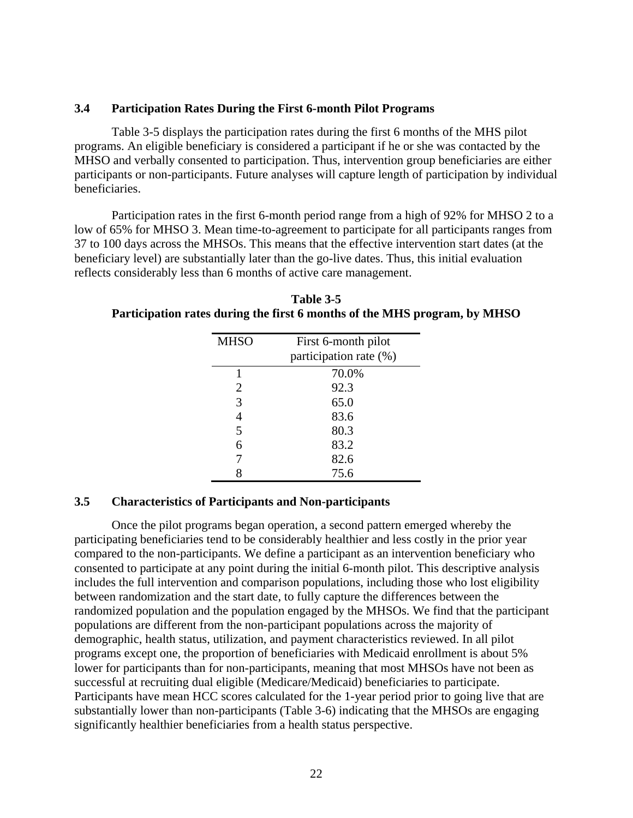## <span id="page-26-0"></span>**3.4 Participation Rates During the First 6-month Pilot Programs**

Table 3-5 displays the participation rates during the first 6 months of the MHS pilot programs. An eligible beneficiary is considered a participant if he or she was contacted by the MHSO and verbally consented to participation. Thus, intervention group beneficiaries are either participants or non-participants. Future analyses will capture length of participation by individual beneficiaries.

Participation rates in the first 6-month period range from a high of 92% for MHSO 2 to a low of 65% for MHSO 3. Mean time-to-agreement to participate for all participants ranges from 37 to 100 days across the MHSOs. This means that the effective intervention start dates (at the beneficiary level) are substantially later than the go-live dates. Thus, this initial evaluation reflects considerably less than 6 months of active care management.

**Table 3-5 Participation rates during the first 6 months of the MHS program, by MHSO** 

| <b>MHSO</b>    | First 6-month pilot<br>participation rate (%) |
|----------------|-----------------------------------------------|
|                | 70.0%                                         |
| 2              | 92.3                                          |
| 3              | 65.0                                          |
| $\overline{4}$ | 83.6                                          |
| 5              | 80.3                                          |
| 6              | 83.2                                          |
|                | 82.6                                          |
| 8              | 75.6                                          |

# **3.5 Characteristics of Participants and Non-participants**

Once the pilot programs began operation, a second pattern emerged whereby the participating beneficiaries tend to be considerably healthier and less costly in the prior year compared to the non-participants. We define a participant as an intervention beneficiary who consented to participate at any point during the initial 6-month pilot. This descriptive analysis includes the full intervention and comparison populations, including those who lost eligibility between randomization and the start date, to fully capture the differences between the randomized population and the population engaged by the MHSOs. We find that the participant populations are different from the non-participant populations across the majority of demographic, health status, utilization, and payment characteristics reviewed. In all pilot programs except one, the proportion of beneficiaries with Medicaid enrollment is about 5% lower for participants than for non-participants, meaning that most MHSOs have not been as successful at recruiting dual eligible (Medicare/Medicaid) beneficiaries to participate. Participants have mean HCC scores calculated for the 1-year period prior to going live that are substantially lower than non-participants (Table 3-6) indicating that the MHSOs are engaging significantly healthier beneficiaries from a health status perspective.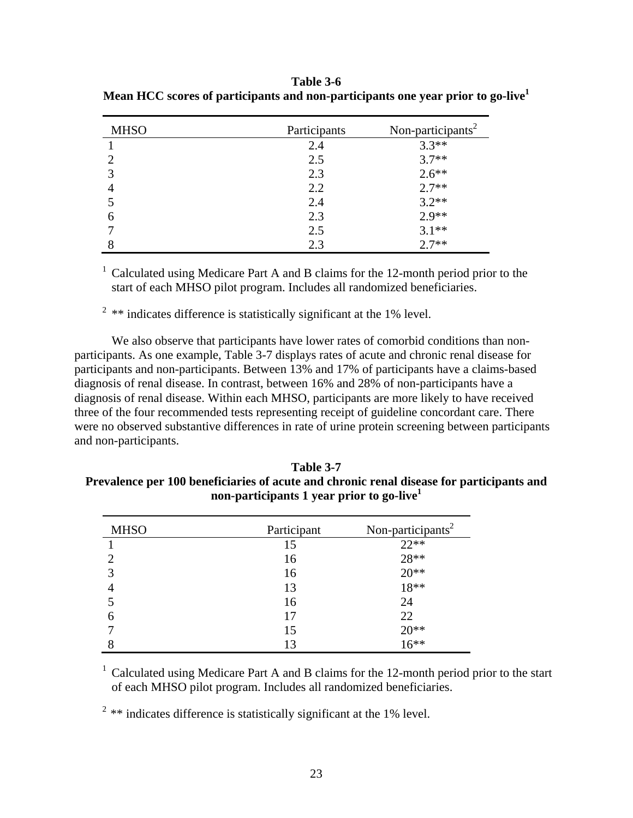| <b>MHSO</b>    | Participants | Non-participants <sup>2</sup> |
|----------------|--------------|-------------------------------|
|                | 2.4          | $3.3**$                       |
|                | 2.5          | $3.7**$                       |
|                | 2.3          | $2.6**$                       |
| $\overline{4}$ | 2.2          | $2.7**$                       |
|                | 2.4          | $3.2**$                       |
| 6              | 2.3          | $2.9**$                       |
|                | 2.5          | $3.1**$                       |
|                | 2.3          | $2.7**$                       |

<span id="page-27-0"></span>**Table 3-6 Mean HCC scores of participants and non-participants one year prior to go-live1** 

<sup>1</sup> Calculated using Medicare Part A and B claims for the 12-month period prior to the start of each MHSO pilot program. Includes all randomized beneficiaries.

 $2$ <sup>2</sup> \*\* indicates difference is statistically significant at the 1% level.

We also observe that participants have lower rates of comorbid conditions than nonparticipants. As one example, Table 3-7 displays rates of acute and chronic renal disease for participants and non-participants. Between 13% and 17% of participants have a claims-based diagnosis of renal disease. In contrast, between 16% and 28% of non-participants have a diagnosis of renal disease. Within each MHSO, participants are more likely to have received three of the four recommended tests representing receipt of guideline concordant care. There were no observed substantive differences in rate of urine protein screening between participants and non-participants.

**Table 3-7 Prevalence per 100 beneficiaries of acute and chronic renal disease for participants and non-participants 1 year prior to go-live1**

| <b>MHSO</b> | Participant | Non-participants <sup>2</sup> |
|-------------|-------------|-------------------------------|
|             | 15          | $22**$                        |
|             | 16          | $28**$                        |
|             | 16          | $20**$                        |
|             | 13          | $18**$                        |
|             | 16          | 24                            |
| 6           | 17          | 22                            |
|             | 15          | $20**$<br>$16**$              |
|             | 13          |                               |

<sup>1</sup> Calculated using Medicare Part A and B claims for the 12-month period prior to the start of each MHSO pilot program. Includes all randomized beneficiaries.

 $2$  \*\* indicates difference is statistically significant at the 1% level.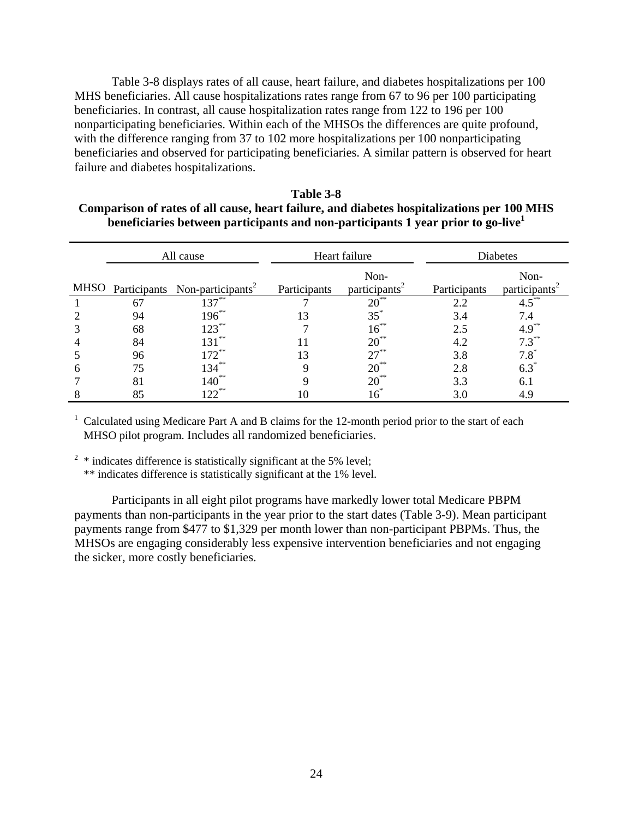<span id="page-28-0"></span>Table 3-8 displays rates of all cause, heart failure, and diabetes hospitalizations per 100 MHS beneficiaries. All cause hospitalizations rates range from 67 to 96 per 100 participating beneficiaries. In contrast, all cause hospitalization rates range from 122 to 196 per 100 nonparticipating beneficiaries. Within each of the MHSOs the differences are quite profound, with the difference ranging from 37 to 102 more hospitalizations per 100 nonparticipating beneficiaries and observed for participating beneficiaries. A similar pattern is observed for heart failure and diabetes hospitalizations.

| Table 3-8                                                                                  |
|--------------------------------------------------------------------------------------------|
| Comparison of rates of all cause, heart failure, and diabetes hospitalizations per 100 MHS |
| beneficiaries between participants and non-participants 1 year prior to go-live            |

|      | All cause |                                            | Heart failure |                                   | Diabetes     |                                   |
|------|-----------|--------------------------------------------|---------------|-----------------------------------|--------------|-----------------------------------|
| MHSO |           | Participants Non-participants <sup>2</sup> | Participants  | Non-<br>participants <sup>2</sup> | Participants | Non-<br>participants <sup>2</sup> |
|      | 67        | $137***$                                   |               | $20^{**}$                         | 2.2          | $4.5***$                          |
|      | 94        | $196***$                                   | 13            | $35^*$                            | 3.4          | 7.4                               |
|      | 68        | $123***$                                   |               | $16^{**}$                         | 2.5          | $4.9***$                          |
|      | 84        | $131***$                                   |               | $20^{**}$                         | 4.2          | $7.3***$                          |
|      | 96        | $172^{**}$                                 | 13            | $27***$                           | 3.8          | $7.8^*$                           |
|      | 75        | $134***$                                   |               | $20^{**}$                         | 2.8          | $6.3^*$                           |
|      | 81        | $140^{**}$                                 |               | $20^{**}$                         | 3.3          | 6.1                               |
|      | 85        | $122***$                                   |               | $\frac{6}{5}$                     | 3.0          | 4.9                               |

<sup>1</sup> Calculated using Medicare Part A and B claims for the 12-month period prior to the start of each MHSO pilot program. Includes all randomized beneficiaries.

<sup>2</sup> \* indicates difference is statistically significant at the 5% level;

\*\* indicates difference is statistically significant at the 1% level.

Participants in all eight pilot programs have markedly lower total Medicare PBPM payments than non-participants in the year prior to the start dates (Table 3-9). Mean participant payments range from \$477 to \$1,329 per month lower than non-participant PBPMs. Thus, the MHSOs are engaging considerably less expensive intervention beneficiaries and not engaging the sicker, more costly beneficiaries.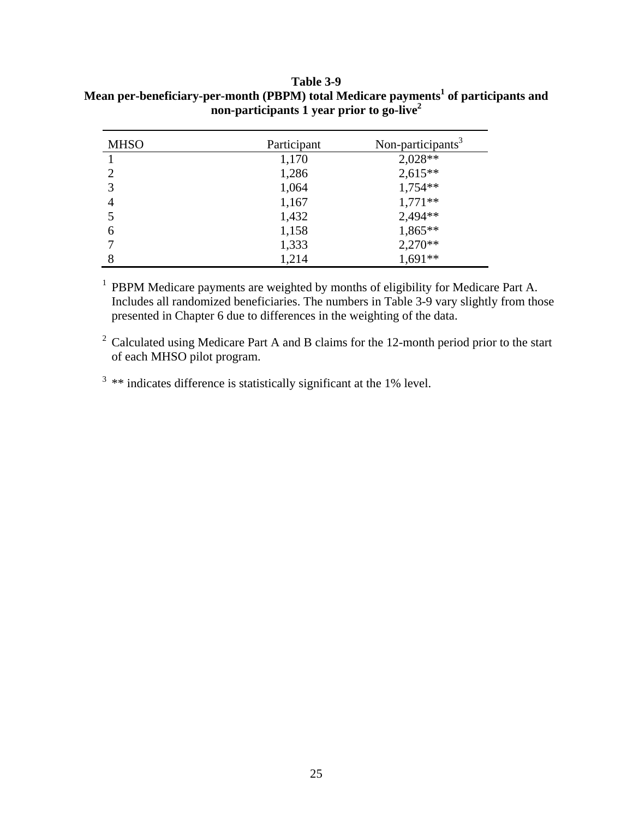<span id="page-29-0"></span>**Table 3-9**  Mean per-beneficiary-per-month (PBPM) total Medicare payments<sup>1</sup> of participants and **non-participants 1 year prior to go-live2**

| <b>MHSO</b>    | Participant | Non-participants <sup>3</sup> |
|----------------|-------------|-------------------------------|
|                | 1,170       | 2,028**                       |
| $\overline{2}$ | 1,286       | $2,615**$                     |
| 3              | 1,064       | $1,754**$                     |
| 4              | 1,167       | $1,771**$                     |
|                | 1,432       | 2,494**                       |
| 6              | 1,158       | $1,865**$                     |
|                | 1,333       | $2,270**$                     |
| 8              | 1,214       | $1,691**$                     |

<sup>1</sup> PBPM Medicare payments are weighted by months of eligibility for Medicare Part A. Includes all randomized beneficiaries. The numbers in Table 3-9 vary slightly from those presented in Chapter 6 due to differences in the weighting of the data.

<sup>2</sup> Calculated using Medicare Part A and B claims for the 12-month period prior to the start of each MHSO pilot program.

 $3$  \*\* indicates difference is statistically significant at the 1% level.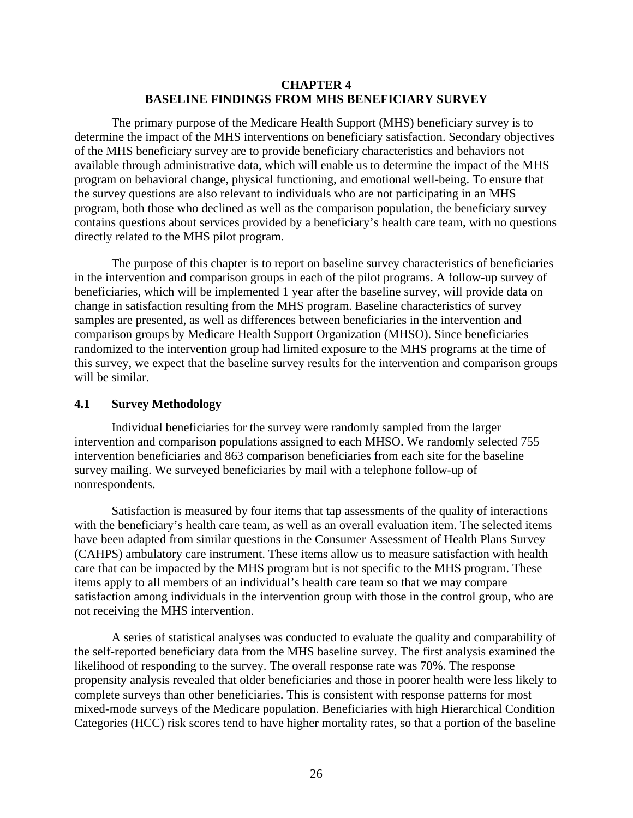# **CHAPTER 4 BASELINE FINDINGS FROM MHS BENEFICIARY SURVEY**

<span id="page-30-0"></span>The primary purpose of the Medicare Health Support (MHS) beneficiary survey is to determine the impact of the MHS interventions on beneficiary satisfaction. Secondary objectives of the MHS beneficiary survey are to provide beneficiary characteristics and behaviors not available through administrative data, which will enable us to determine the impact of the MHS program on behavioral change, physical functioning, and emotional well-being. To ensure that the survey questions are also relevant to individuals who are not participating in an MHS program, both those who declined as well as the comparison population, the beneficiary survey contains questions about services provided by a beneficiary's health care team, with no questions directly related to the MHS pilot program.

The purpose of this chapter is to report on baseline survey characteristics of beneficiaries in the intervention and comparison groups in each of the pilot programs. A follow-up survey of beneficiaries, which will be implemented 1 year after the baseline survey, will provide data on change in satisfaction resulting from the MHS program. Baseline characteristics of survey samples are presented, as well as differences between beneficiaries in the intervention and comparison groups by Medicare Health Support Organization (MHSO). Since beneficiaries randomized to the intervention group had limited exposure to the MHS programs at the time of this survey, we expect that the baseline survey results for the intervention and comparison groups will be similar.

#### **4.1 Survey Methodology**

Individual beneficiaries for the survey were randomly sampled from the larger intervention and comparison populations assigned to each MHSO. We randomly selected 755 intervention beneficiaries and 863 comparison beneficiaries from each site for the baseline survey mailing. We surveyed beneficiaries by mail with a telephone follow-up of nonrespondents.

Satisfaction is measured by four items that tap assessments of the quality of interactions with the beneficiary's health care team, as well as an overall evaluation item. The selected items have been adapted from similar questions in the Consumer Assessment of Health Plans Survey (CAHPS) ambulatory care instrument. These items allow us to measure satisfaction with health care that can be impacted by the MHS program but is not specific to the MHS program. These items apply to all members of an individual's health care team so that we may compare satisfaction among individuals in the intervention group with those in the control group, who are not receiving the MHS intervention.

A series of statistical analyses was conducted to evaluate the quality and comparability of the self-reported beneficiary data from the MHS baseline survey. The first analysis examined the likelihood of responding to the survey. The overall response rate was 70%. The response propensity analysis revealed that older beneficiaries and those in poorer health were less likely to complete surveys than other beneficiaries. This is consistent with response patterns for most mixed-mode surveys of the Medicare population. Beneficiaries with high Hierarchical Condition Categories (HCC) risk scores tend to have higher mortality rates, so that a portion of the baseline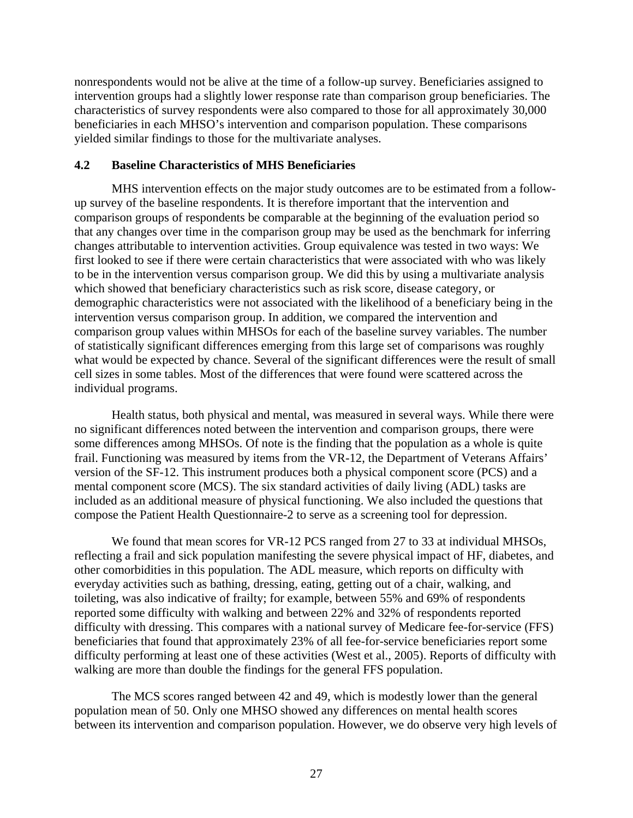<span id="page-31-0"></span>nonrespondents would not be alive at the time of a follow-up survey. Beneficiaries assigned to intervention groups had a slightly lower response rate than comparison group beneficiaries. The characteristics of survey respondents were also compared to those for all approximately 30,000 beneficiaries in each MHSO's intervention and comparison population. These comparisons yielded similar findings to those for the multivariate analyses.

#### **4.2 Baseline Characteristics of MHS Beneficiaries**

MHS intervention effects on the major study outcomes are to be estimated from a followup survey of the baseline respondents. It is therefore important that the intervention and comparison groups of respondents be comparable at the beginning of the evaluation period so that any changes over time in the comparison group may be used as the benchmark for inferring changes attributable to intervention activities. Group equivalence was tested in two ways: We first looked to see if there were certain characteristics that were associated with who was likely to be in the intervention versus comparison group. We did this by using a multivariate analysis which showed that beneficiary characteristics such as risk score, disease category, or demographic characteristics were not associated with the likelihood of a beneficiary being in the intervention versus comparison group. In addition, we compared the intervention and comparison group values within MHSOs for each of the baseline survey variables. The number of statistically significant differences emerging from this large set of comparisons was roughly what would be expected by chance. Several of the significant differences were the result of small cell sizes in some tables. Most of the differences that were found were scattered across the individual programs.

Health status, both physical and mental, was measured in several ways. While there were no significant differences noted between the intervention and comparison groups, there were some differences among MHSOs. Of note is the finding that the population as a whole is quite frail. Functioning was measured by items from the VR-12, the Department of Veterans Affairs' version of the SF-12. This instrument produces both a physical component score (PCS) and a mental component score (MCS). The six standard activities of daily living (ADL) tasks are included as an additional measure of physical functioning. We also included the questions that compose the Patient Health Questionnaire-2 to serve as a screening tool for depression.

We found that mean scores for VR-12 PCS ranged from 27 to 33 at individual MHSOs, reflecting a frail and sick population manifesting the severe physical impact of HF, diabetes, and other comorbidities in this population. The ADL measure, which reports on difficulty with everyday activities such as bathing, dressing, eating, getting out of a chair, walking, and toileting, was also indicative of frailty; for example, between 55% and 69% of respondents reported some difficulty with walking and between 22% and 32% of respondents reported difficulty with dressing. This compares with a national survey of Medicare fee-for-service (FFS) beneficiaries that found that approximately 23% of all fee-for-service beneficiaries report some difficulty performing at least one of these activities (West et al., 2005). Reports of difficulty with walking are more than double the findings for the general FFS population.

The MCS scores ranged between 42 and 49, which is modestly lower than the general population mean of 50. Only one MHSO showed any differences on mental health scores between its intervention and comparison population. However, we do observe very high levels of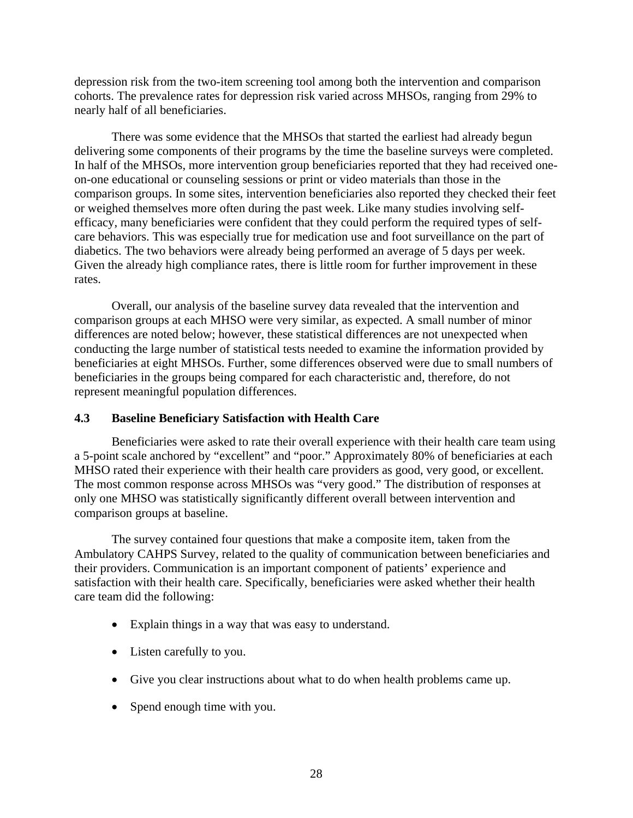<span id="page-32-0"></span>depression risk from the two-item screening tool among both the intervention and comparison cohorts. The prevalence rates for depression risk varied across MHSOs, ranging from 29% to nearly half of all beneficiaries.

There was some evidence that the MHSOs that started the earliest had already begun delivering some components of their programs by the time the baseline surveys were completed. In half of the MHSOs, more intervention group beneficiaries reported that they had received oneon-one educational or counseling sessions or print or video materials than those in the comparison groups. In some sites, intervention beneficiaries also reported they checked their feet or weighed themselves more often during the past week. Like many studies involving selfefficacy, many beneficiaries were confident that they could perform the required types of selfcare behaviors. This was especially true for medication use and foot surveillance on the part of diabetics. The two behaviors were already being performed an average of 5 days per week. Given the already high compliance rates, there is little room for further improvement in these rates.

Overall, our analysis of the baseline survey data revealed that the intervention and comparison groups at each MHSO were very similar, as expected. A small number of minor differences are noted below; however, these statistical differences are not unexpected when conducting the large number of statistical tests needed to examine the information provided by beneficiaries at eight MHSOs. Further, some differences observed were due to small numbers of beneficiaries in the groups being compared for each characteristic and, therefore, do not represent meaningful population differences.

# **4.3 Baseline Beneficiary Satisfaction with Health Care**

Beneficiaries were asked to rate their overall experience with their health care team using a 5-point scale anchored by "excellent" and "poor." Approximately 80% of beneficiaries at each MHSO rated their experience with their health care providers as good, very good, or excellent. The most common response across MHSOs was "very good." The distribution of responses at only one MHSO was statistically significantly different overall between intervention and comparison groups at baseline.

The survey contained four questions that make a composite item, taken from the Ambulatory CAHPS Survey, related to the quality of communication between beneficiaries and their providers. Communication is an important component of patients' experience and satisfaction with their health care. Specifically, beneficiaries were asked whether their health care team did the following:

- Explain things in a way that was easy to understand.
- Listen carefully to you.
- Give you clear instructions about what to do when health problems came up.
- Spend enough time with you.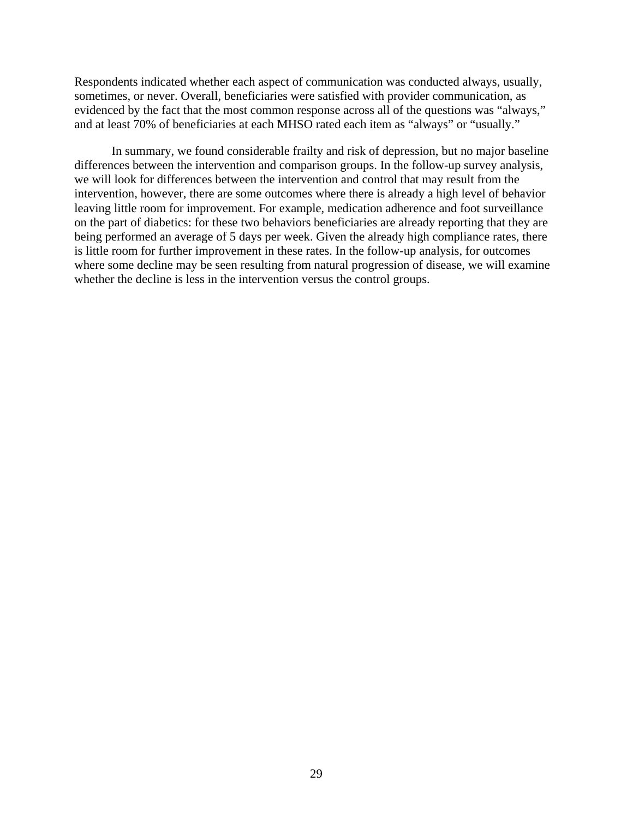Respondents indicated whether each aspect of communication was conducted always, usually, sometimes, or never. Overall, beneficiaries were satisfied with provider communication, as evidenced by the fact that the most common response across all of the questions was "always," and at least 70% of beneficiaries at each MHSO rated each item as "always" or "usually."

In summary, we found considerable frailty and risk of depression, but no major baseline differences between the intervention and comparison groups. In the follow-up survey analysis, we will look for differences between the intervention and control that may result from the intervention, however, there are some outcomes where there is already a high level of behavior leaving little room for improvement. For example, medication adherence and foot surveillance on the part of diabetics: for these two behaviors beneficiaries are already reporting that they are being performed an average of 5 days per week. Given the already high compliance rates, there is little room for further improvement in these rates. In the follow-up analysis, for outcomes where some decline may be seen resulting from natural progression of disease, we will examine whether the decline is less in the intervention versus the control groups.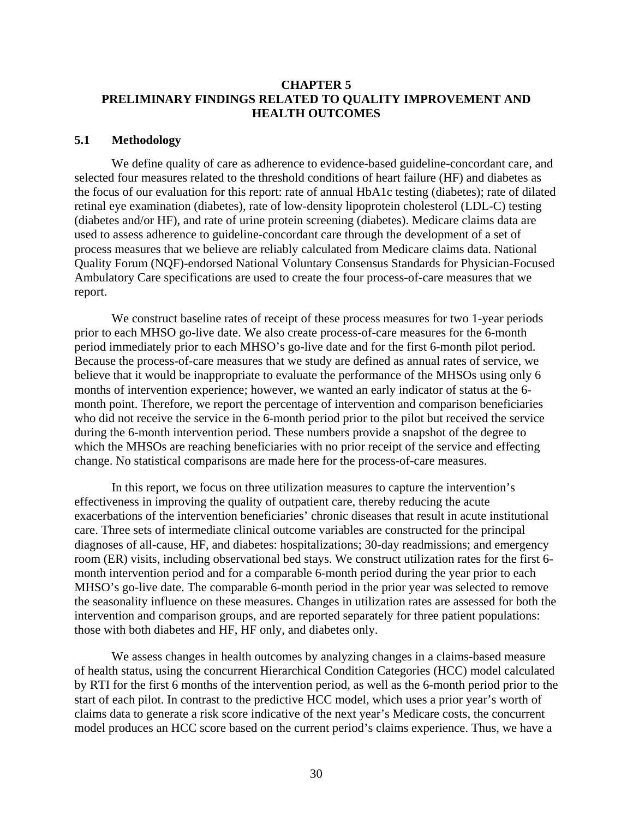# <span id="page-34-0"></span>**CHAPTER 5 PRELIMINARY FINDINGS RELATED TO QUALITY IMPROVEMENT AND HEALTH OUTCOMES**

#### **5.1 Methodology**

We define quality of care as adherence to evidence-based guideline-concordant care, and selected four measures related to the threshold conditions of heart failure (HF) and diabetes as the focus of our evaluation for this report: rate of annual HbA1c testing (diabetes); rate of dilated retinal eye examination (diabetes), rate of low-density lipoprotein cholesterol (LDL-C) testing (diabetes and/or HF), and rate of urine protein screening (diabetes). Medicare claims data are used to assess adherence to guideline-concordant care through the development of a set of process measures that we believe are reliably calculated from Medicare claims data. National Quality Forum (NQF)-endorsed National Voluntary Consensus Standards for Physician-Focused Ambulatory Care specifications are used to create the four process-of-care measures that we report.

We construct baseline rates of receipt of these process measures for two 1-year periods prior to each MHSO go-live date. We also create process-of-care measures for the 6-month period immediately prior to each MHSO's go-live date and for the first 6-month pilot period. Because the process-of-care measures that we study are defined as annual rates of service, we believe that it would be inappropriate to evaluate the performance of the MHSOs using only 6 months of intervention experience; however, we wanted an early indicator of status at the 6 month point. Therefore, we report the percentage of intervention and comparison beneficiaries who did not receive the service in the 6-month period prior to the pilot but received the service during the 6-month intervention period. These numbers provide a snapshot of the degree to which the MHSOs are reaching beneficiaries with no prior receipt of the service and effecting change. No statistical comparisons are made here for the process-of-care measures.

In this report, we focus on three utilization measures to capture the intervention's effectiveness in improving the quality of outpatient care, thereby reducing the acute exacerbations of the intervention beneficiaries' chronic diseases that result in acute institutional care. Three sets of intermediate clinical outcome variables are constructed for the principal diagnoses of all-cause, HF, and diabetes: hospitalizations; 30-day readmissions; and emergency room (ER) visits, including observational bed stays. We construct utilization rates for the first 6 month intervention period and for a comparable 6-month period during the year prior to each MHSO's go-live date. The comparable 6-month period in the prior year was selected to remove the seasonality influence on these measures. Changes in utilization rates are assessed for both the intervention and comparison groups, and are reported separately for three patient populations: those with both diabetes and HF, HF only, and diabetes only.

We assess changes in health outcomes by analyzing changes in a claims-based measure of health status, using the concurrent Hierarchical Condition Categories (HCC) model calculated by RTI for the first 6 months of the intervention period, as well as the 6-month period prior to the start of each pilot. In contrast to the predictive HCC model, which uses a prior year's worth of claims data to generate a risk score indicative of the next year's Medicare costs, the concurrent model produces an HCC score based on the current period's claims experience. Thus, we have a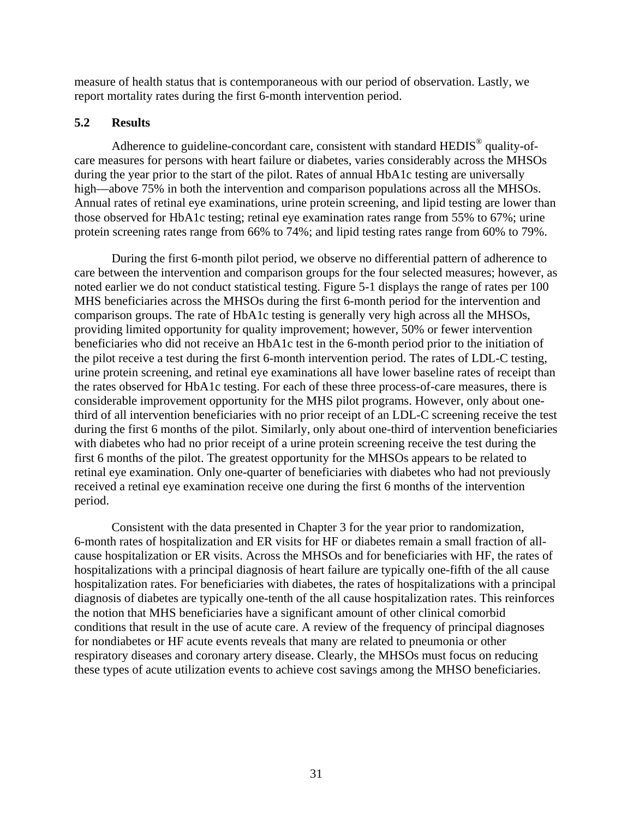<span id="page-35-0"></span>measure of health status that is contemporaneous with our period of observation. Lastly, we report mortality rates during the first 6-month intervention period.

# **5.2 Results**

Adherence to guideline-concordant care, consistent with standard HEDIS<sup>®</sup> quality-ofcare measures for persons with heart failure or diabetes, varies considerably across the MHSOs during the year prior to the start of the pilot. Rates of annual HbA1c testing are universally high—above 75% in both the intervention and comparison populations across all the MHSOs. Annual rates of retinal eye examinations, urine protein screening, and lipid testing are lower than those observed for HbA1c testing; retinal eye examination rates range from 55% to 67%; urine protein screening rates range from 66% to 74%; and lipid testing rates range from 60% to 79%.

During the first 6-month pilot period, we observe no differential pattern of adherence to care between the intervention and comparison groups for the four selected measures; however, as noted earlier we do not conduct statistical testing. Figure 5-1 displays the range of rates per 100 MHS beneficiaries across the MHSOs during the first 6-month period for the intervention and comparison groups. The rate of HbA1c testing is generally very high across all the MHSOs, providing limited opportunity for quality improvement; however, 50% or fewer intervention beneficiaries who did not receive an HbA1c test in the 6-month period prior to the initiation of the pilot receive a test during the first 6-month intervention period. The rates of LDL-C testing, urine protein screening, and retinal eye examinations all have lower baseline rates of receipt than the rates observed for HbA1c testing. For each of these three process-of-care measures, there is considerable improvement opportunity for the MHS pilot programs. However, only about onethird of all intervention beneficiaries with no prior receipt of an LDL-C screening receive the test during the first 6 months of the pilot. Similarly, only about one-third of intervention beneficiaries with diabetes who had no prior receipt of a urine protein screening receive the test during the first 6 months of the pilot. The greatest opportunity for the MHSOs appears to be related to retinal eye examination. Only one-quarter of beneficiaries with diabetes who had not previously received a retinal eye examination receive one during the first 6 months of the intervention period.

Consistent with the data presented in Chapter 3 for the year prior to randomization, 6-month rates of hospitalization and ER visits for HF or diabetes remain a small fraction of allcause hospitalization or ER visits. Across the MHSOs and for beneficiaries with HF, the rates of hospitalizations with a principal diagnosis of heart failure are typically one-fifth of the all cause hospitalization rates. For beneficiaries with diabetes, the rates of hospitalizations with a principal diagnosis of diabetes are typically one-tenth of the all cause hospitalization rates. This reinforces the notion that MHS beneficiaries have a significant amount of other clinical comorbid conditions that result in the use of acute care. A review of the frequency of principal diagnoses for nondiabetes or HF acute events reveals that many are related to pneumonia or other respiratory diseases and coronary artery disease. Clearly, the MHSOs must focus on reducing these types of acute utilization events to achieve cost savings among the MHSO beneficiaries.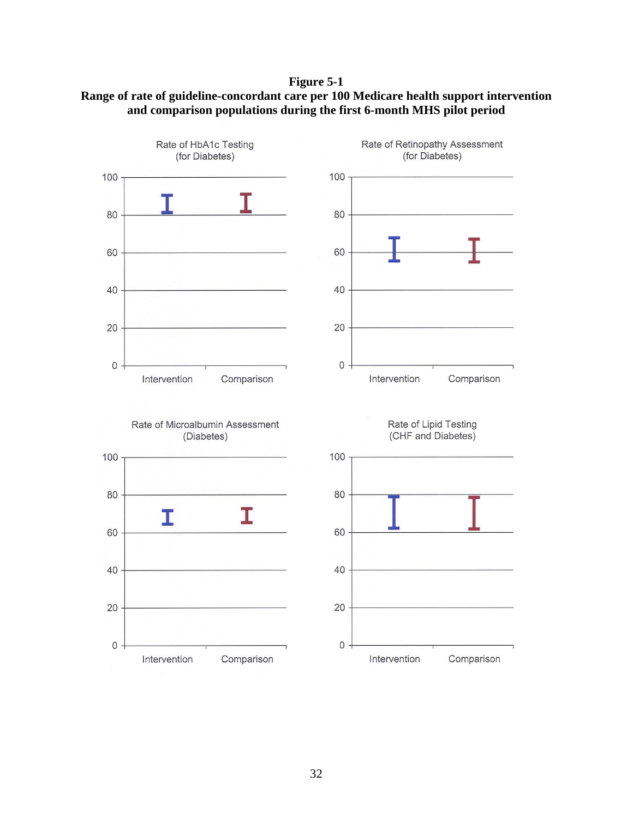<span id="page-36-0"></span>**Figure 5-1 Range of rate of guideline-concordant care per 100 Medicare health support intervention and comparison populations during the first 6-month MHS pilot period** 

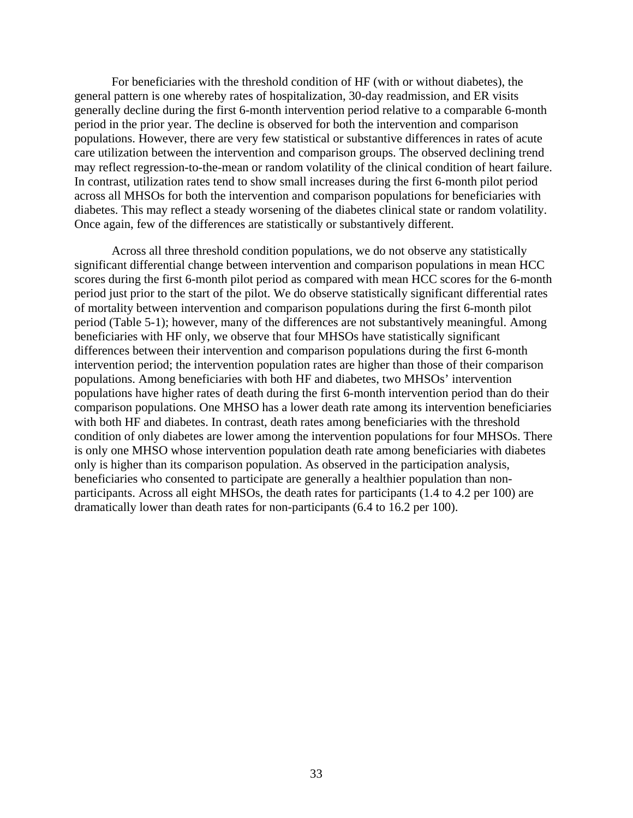For beneficiaries with the threshold condition of HF (with or without diabetes), the general pattern is one whereby rates of hospitalization, 30-day readmission, and ER visits generally decline during the first 6-month intervention period relative to a comparable 6-month period in the prior year. The decline is observed for both the intervention and comparison populations. However, there are very few statistical or substantive differences in rates of acute care utilization between the intervention and comparison groups. The observed declining trend may reflect regression-to-the-mean or random volatility of the clinical condition of heart failure. In contrast, utilization rates tend to show small increases during the first 6-month pilot period across all MHSOs for both the intervention and comparison populations for beneficiaries with diabetes. This may reflect a steady worsening of the diabetes clinical state or random volatility. Once again, few of the differences are statistically or substantively different.

Across all three threshold condition populations, we do not observe any statistically significant differential change between intervention and comparison populations in mean HCC scores during the first 6-month pilot period as compared with mean HCC scores for the 6-month period just prior to the start of the pilot. We do observe statistically significant differential rates of mortality between intervention and comparison populations during the first 6-month pilot period (Table 5-1); however, many of the differences are not substantively meaningful. Among beneficiaries with HF only, we observe that four MHSOs have statistically significant differences between their intervention and comparison populations during the first 6-month intervention period; the intervention population rates are higher than those of their comparison populations. Among beneficiaries with both HF and diabetes, two MHSOs' intervention populations have higher rates of death during the first 6-month intervention period than do their comparison populations. One MHSO has a lower death rate among its intervention beneficiaries with both HF and diabetes. In contrast, death rates among beneficiaries with the threshold condition of only diabetes are lower among the intervention populations for four MHSOs. There is only one MHSO whose intervention population death rate among beneficiaries with diabetes only is higher than its comparison population. As observed in the participation analysis, beneficiaries who consented to participate are generally a healthier population than nonparticipants. Across all eight MHSOs, the death rates for participants (1.4 to 4.2 per 100) are dramatically lower than death rates for non-participants (6.4 to 16.2 per 100).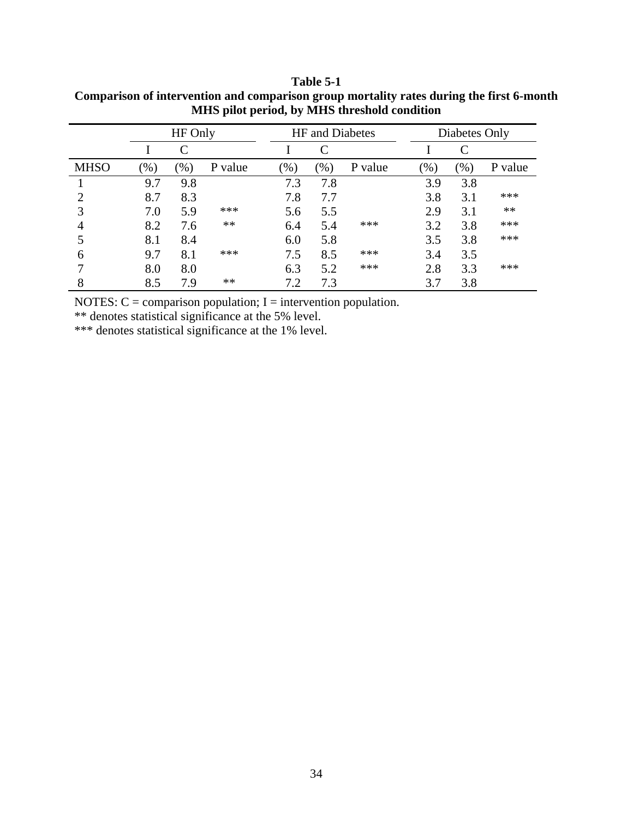|             |        | HF Only |         |     | <b>HF</b> and Diabetes |         |      | Diabetes Only |         |
|-------------|--------|---------|---------|-----|------------------------|---------|------|---------------|---------|
|             |        |         |         |     |                        |         |      |               |         |
| <b>MHSO</b> | $(\%)$ | $(\%)$  | P value | (%) | $(\%)$                 | P value | (% ) | (96)          | P value |
|             | 9.7    | 9.8     |         | 7.3 | 7.8                    |         | 3.9  | 3.8           |         |
|             | 8.7    | 8.3     |         | 7.8 | 7.7                    |         | 3.8  | 3.1           | ***     |
| 3           | 7.0    | 5.9     | ***     | 5.6 | 5.5                    |         | 2.9  | 3.1           | **      |
|             | 8.2    | 7.6     | **      | 6.4 | 5.4                    | ***     | 3.2  | 3.8           | ***     |
|             | 8.1    | 8.4     |         | 6.0 | 5.8                    |         | 3.5  | 3.8           | ***     |
| 6           | 9.7    | 8.1     | ***     | 7.5 | 8.5                    | ***     | 3.4  | 3.5           |         |
|             | 8.0    | 8.0     |         | 6.3 | 5.2                    | ***     | 2.8  | 3.3           | ***     |
| 8           | 8.5    | 7.9     | **      | 7.2 | 7.3                    |         | 3.7  | 3.8           |         |

<span id="page-38-0"></span>**Table 5-1 Comparison of intervention and comparison group mortality rates during the first 6-month MHS pilot period, by MHS threshold condition** 

NOTES:  $C =$  comparison population; I = intervention population.

\*\* denotes statistical significance at the 5% level.

\*\*\* denotes statistical significance at the 1% level.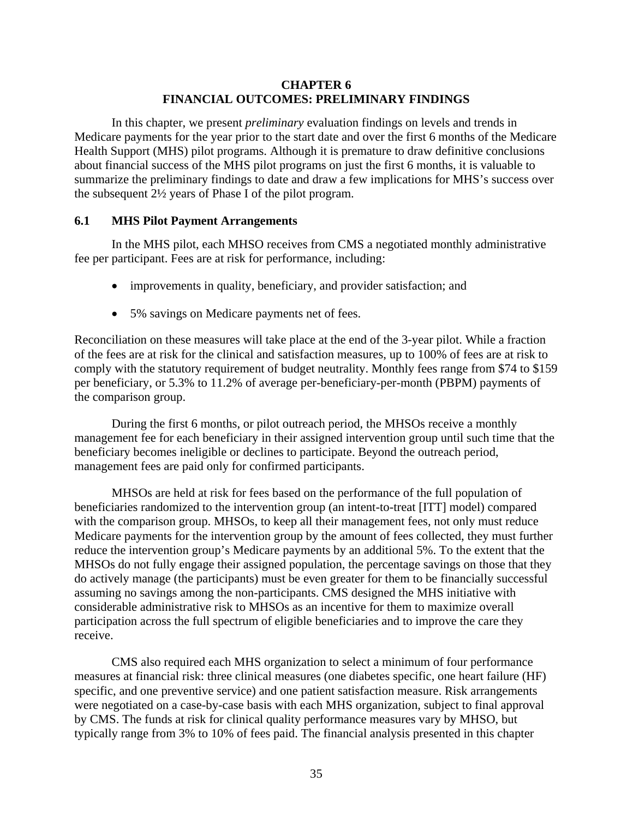# **CHAPTER 6 FINANCIAL OUTCOMES: PRELIMINARY FINDINGS**

<span id="page-39-0"></span>In this chapter, we present *preliminary* evaluation findings on levels and trends in Medicare payments for the year prior to the start date and over the first 6 months of the Medicare Health Support (MHS) pilot programs. Although it is premature to draw definitive conclusions about financial success of the MHS pilot programs on just the first 6 months, it is valuable to summarize the preliminary findings to date and draw a few implications for MHS's success over the subsequent 2½ years of Phase I of the pilot program.

# **6.1 MHS Pilot Payment Arrangements**

In the MHS pilot, each MHSO receives from CMS a negotiated monthly administrative fee per participant. Fees are at risk for performance, including:

- improvements in quality, beneficiary, and provider satisfaction; and
- 5% savings on Medicare payments net of fees.

Reconciliation on these measures will take place at the end of the 3-year pilot. While a fraction of the fees are at risk for the clinical and satisfaction measures, up to 100% of fees are at risk to comply with the statutory requirement of budget neutrality. Monthly fees range from \$74 to \$159 per beneficiary, or 5.3% to 11.2% of average per-beneficiary-per-month (PBPM) payments of the comparison group.

During the first 6 months, or pilot outreach period, the MHSOs receive a monthly management fee for each beneficiary in their assigned intervention group until such time that the beneficiary becomes ineligible or declines to participate. Beyond the outreach period, management fees are paid only for confirmed participants.

MHSOs are held at risk for fees based on the performance of the full population of beneficiaries randomized to the intervention group (an intent-to-treat [ITT] model) compared with the comparison group. MHSOs, to keep all their management fees, not only must reduce Medicare payments for the intervention group by the amount of fees collected, they must further reduce the intervention group's Medicare payments by an additional 5%. To the extent that the MHSOs do not fully engage their assigned population, the percentage savings on those that they do actively manage (the participants) must be even greater for them to be financially successful assuming no savings among the non-participants. CMS designed the MHS initiative with considerable administrative risk to MHSOs as an incentive for them to maximize overall participation across the full spectrum of eligible beneficiaries and to improve the care they receive.

CMS also required each MHS organization to select a minimum of four performance measures at financial risk: three clinical measures (one diabetes specific, one heart failure (HF) specific, and one preventive service) and one patient satisfaction measure. Risk arrangements were negotiated on a case-by-case basis with each MHS organization, subject to final approval by CMS. The funds at risk for clinical quality performance measures vary by MHSO, but typically range from 3% to 10% of fees paid. The financial analysis presented in this chapter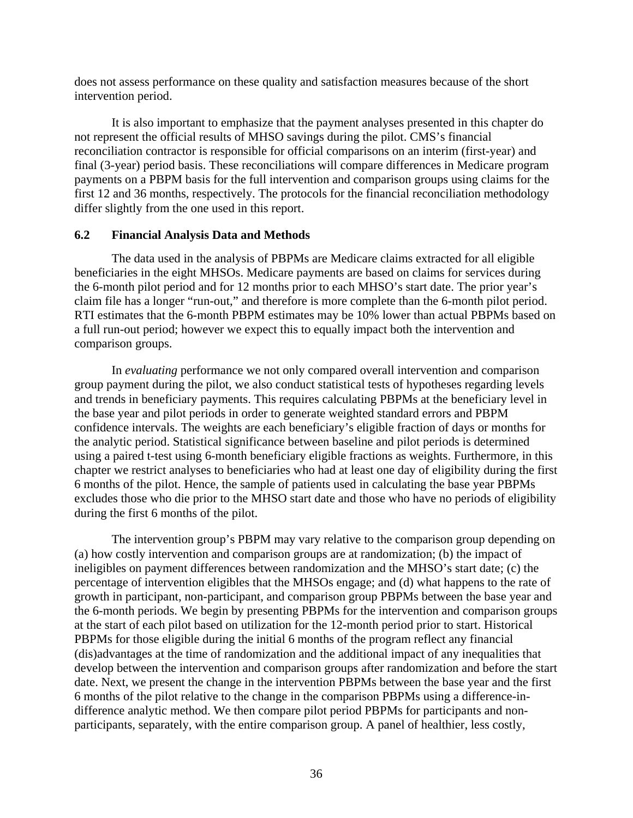<span id="page-40-0"></span>does not assess performance on these quality and satisfaction measures because of the short intervention period.

It is also important to emphasize that the payment analyses presented in this chapter do not represent the official results of MHSO savings during the pilot. CMS's financial reconciliation contractor is responsible for official comparisons on an interim (first-year) and final (3-year) period basis. These reconciliations will compare differences in Medicare program payments on a PBPM basis for the full intervention and comparison groups using claims for the first 12 and 36 months, respectively. The protocols for the financial reconciliation methodology differ slightly from the one used in this report.

#### **6.2 Financial Analysis Data and Methods**

The data used in the analysis of PBPMs are Medicare claims extracted for all eligible beneficiaries in the eight MHSOs. Medicare payments are based on claims for services during the 6-month pilot period and for 12 months prior to each MHSO's start date. The prior year's claim file has a longer "run-out," and therefore is more complete than the 6-month pilot period. RTI estimates that the 6-month PBPM estimates may be 10% lower than actual PBPMs based on a full run-out period; however we expect this to equally impact both the intervention and comparison groups.

In *evaluating* performance we not only compared overall intervention and comparison group payment during the pilot, we also conduct statistical tests of hypotheses regarding levels and trends in beneficiary payments. This requires calculating PBPMs at the beneficiary level in the base year and pilot periods in order to generate weighted standard errors and PBPM confidence intervals. The weights are each beneficiary's eligible fraction of days or months for the analytic period. Statistical significance between baseline and pilot periods is determined using a paired t-test using 6-month beneficiary eligible fractions as weights. Furthermore, in this chapter we restrict analyses to beneficiaries who had at least one day of eligibility during the first 6 months of the pilot. Hence, the sample of patients used in calculating the base year PBPMs excludes those who die prior to the MHSO start date and those who have no periods of eligibility during the first 6 months of the pilot.

The intervention group's PBPM may vary relative to the comparison group depending on (a) how costly intervention and comparison groups are at randomization; (b) the impact of ineligibles on payment differences between randomization and the MHSO's start date; (c) the percentage of intervention eligibles that the MHSOs engage; and (d) what happens to the rate of growth in participant, non-participant, and comparison group PBPMs between the base year and the 6-month periods. We begin by presenting PBPMs for the intervention and comparison groups at the start of each pilot based on utilization for the 12-month period prior to start. Historical PBPMs for those eligible during the initial 6 months of the program reflect any financial (dis)advantages at the time of randomization and the additional impact of any inequalities that develop between the intervention and comparison groups after randomization and before the start date. Next, we present the change in the intervention PBPMs between the base year and the first 6 months of the pilot relative to the change in the comparison PBPMs using a difference-indifference analytic method. We then compare pilot period PBPMs for participants and nonparticipants, separately, with the entire comparison group. A panel of healthier, less costly,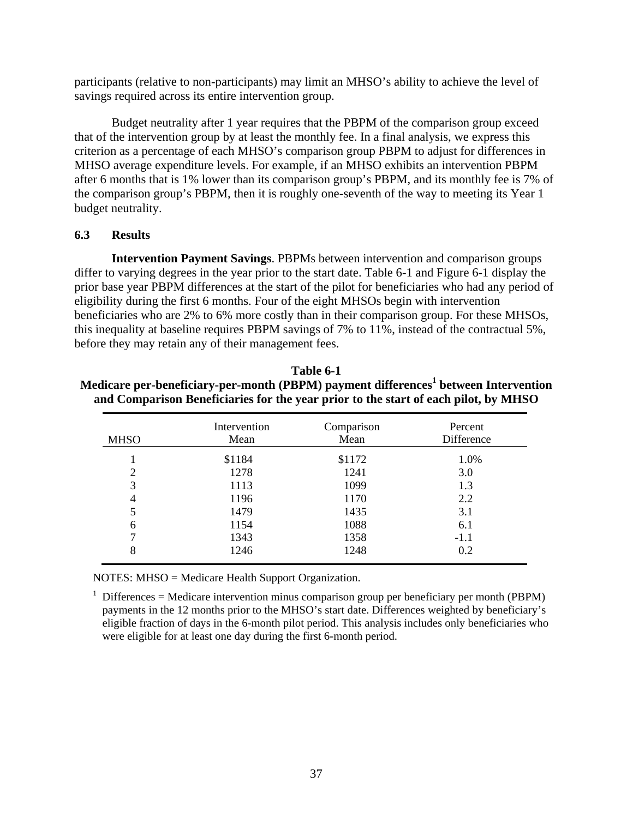<span id="page-41-0"></span>participants (relative to non-participants) may limit an MHSO's ability to achieve the level of savings required across its entire intervention group.

Budget neutrality after 1 year requires that the PBPM of the comparison group exceed that of the intervention group by at least the monthly fee. In a final analysis, we express this criterion as a percentage of each MHSO's comparison group PBPM to adjust for differences in MHSO average expenditure levels. For example, if an MHSO exhibits an intervention PBPM after 6 months that is 1% lower than its comparison group's PBPM, and its monthly fee is 7% of the comparison group's PBPM, then it is roughly one-seventh of the way to meeting its Year 1 budget neutrality.

# **6.3 Results**

**Intervention Payment Savings**. PBPMs between intervention and comparison groups differ to varying degrees in the year prior to the start date. Table 6-1 and Figure 6-1 display the prior base year PBPM differences at the start of the pilot for beneficiaries who had any period of eligibility during the first 6 months. Four of the eight MHSOs begin with intervention beneficiaries who are 2% to 6% more costly than in their comparison group. For these MHSOs, this inequality at baseline requires PBPM savings of 7% to 11%, instead of the contractual 5%, before they may retain any of their management fees.

| <b>MHSO</b>    | Intervention<br>Mean | Comparison<br>Mean | Percent<br>Difference |
|----------------|----------------------|--------------------|-----------------------|
|                | \$1184               | \$1172             | 1.0%                  |
| 2              | 1278                 | 1241               | 3.0                   |
| 3              | 1113                 | 1099               | 1.3                   |
| $\overline{4}$ | 1196                 | 1170               | 2.2                   |
| 5              | 1479                 | 1435               | 3.1                   |
| 6              | 1154                 | 1088               | 6.1                   |
|                | 1343                 | 1358               | $-1.1$                |
| 8              | 1246                 | 1248               | 0.2                   |

**Table 6-1**  Medicare per-beneficiary-per-month (PBPM) payment differences<sup>1</sup> between Intervention **and Comparison Beneficiaries for the year prior to the start of each pilot, by MHSO** 

NOTES: MHSO = Medicare Health Support Organization.

<sup>1</sup> Differences = Medicare intervention minus comparison group per beneficiary per month (PBPM) payments in the 12 months prior to the MHSO's start date. Differences weighted by beneficiary's eligible fraction of days in the 6-month pilot period. This analysis includes only beneficiaries who were eligible for at least one day during the first 6-month period.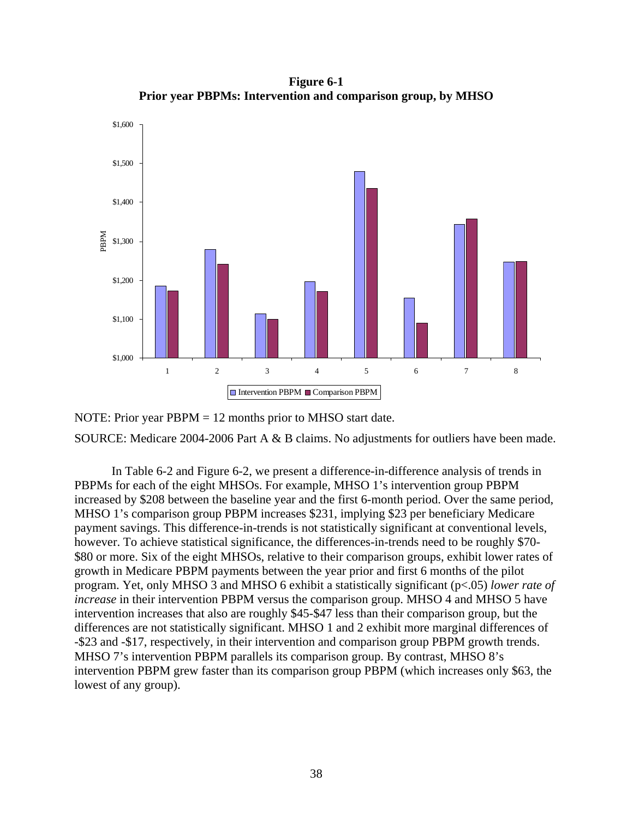**Figure 6-1 Prior year PBPMs: Intervention and comparison group, by MHSO** 

<span id="page-42-0"></span>

NOTE: Prior year PBPM = 12 months prior to MHSO start date. SOURCE: Medicare 2004-2006 Part A & B claims. No adjustments for outliers have been made.

In Table 6-2 and Figure 6-2, we present a difference-in-difference analysis of trends in PBPMs for each of the eight MHSOs. For example, MHSO 1's intervention group PBPM increased by \$208 between the baseline year and the first 6-month period. Over the same period, MHSO 1's comparison group PBPM increases \$231, implying \$23 per beneficiary Medicare payment savings. This difference-in-trends is not statistically significant at conventional levels, however. To achieve statistical significance, the differences-in-trends need to be roughly \$70- \$80 or more. Six of the eight MHSOs, relative to their comparison groups, exhibit lower rates of growth in Medicare PBPM payments between the year prior and first 6 months of the pilot program. Yet, only MHSO 3 and MHSO 6 exhibit a statistically significant (p<.05) *lower rate of increase* in their intervention PBPM versus the comparison group. MHSO 4 and MHSO 5 have intervention increases that also are roughly \$45-\$47 less than their comparison group, but the differences are not statistically significant. MHSO 1 and 2 exhibit more marginal differences of -\$23 and -\$17, respectively, in their intervention and comparison group PBPM growth trends. MHSO 7's intervention PBPM parallels its comparison group. By contrast, MHSO 8's intervention PBPM grew faster than its comparison group PBPM (which increases only \$63, the lowest of any group).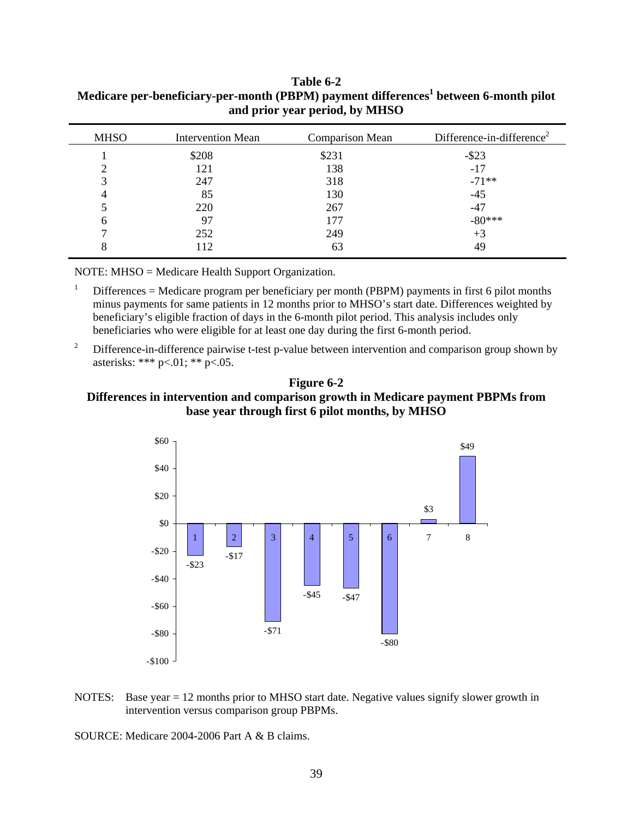| <b>MHSO</b> | <b>Intervention Mean</b> | <b>Comparison Mean</b> | Difference-in-difference <sup>2</sup> |
|-------------|--------------------------|------------------------|---------------------------------------|
|             | \$208                    | \$231                  | $-$ \$23                              |
|             | 121                      | 138                    | $-17$                                 |
|             | 247                      | 318                    | $-71**$                               |
|             | 85                       | 130                    | $-45$                                 |
|             | 220                      | 267                    | -47                                   |
| 6           | 97                       | 177                    | $-80***$                              |
|             | 252                      | 249                    | $+3$                                  |
|             | 112                      | 63                     | 49                                    |
|             |                          |                        |                                       |

# <span id="page-43-0"></span>**Table 6-2**  Medicare per-beneficiary-per-month (PBPM) payment differences<sup>1</sup> between 6-month pilot **and prior year period, by MHSO**

NOTE: MHSO = Medicare Health Support Organization.

1 Differences = Medicare program per beneficiary per month (PBPM) payments in first 6 pilot months minus payments for same patients in 12 months prior to MHSO's start date. Differences weighted by beneficiary's eligible fraction of days in the 6-month pilot period. This analysis includes only beneficiaries who were eligible for at least one day during the first 6-month period.

2 Difference-in-difference pairwise t-test p-value between intervention and comparison group shown by asterisks: \*\*\* p<.01; \*\* p<.05.





NOTES: Base year = 12 months prior to MHSO start date. Negative values signify slower growth in intervention versus comparison group PBPMs.

SOURCE: Medicare 2004-2006 Part A & B claims.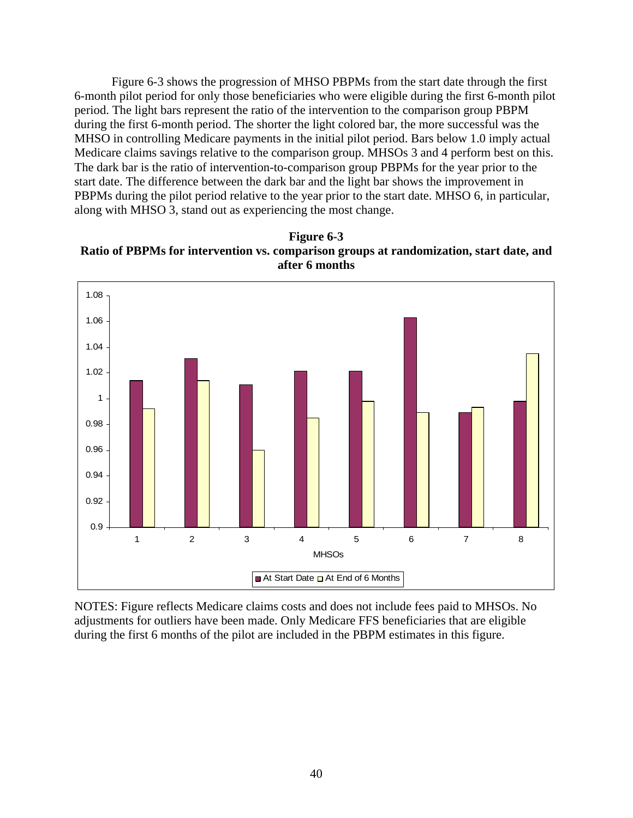<span id="page-44-0"></span>Figure 6-3 shows the progression of MHSO PBPMs from the start date through the first 6-month pilot period for only those beneficiaries who were eligible during the first 6-month pilot period. The light bars represent the ratio of the intervention to the comparison group PBPM during the first 6-month period. The shorter the light colored bar, the more successful was the MHSO in controlling Medicare payments in the initial pilot period. Bars below 1.0 imply actual Medicare claims savings relative to the comparison group. MHSOs 3 and 4 perform best on this. The dark bar is the ratio of intervention-to-comparison group PBPMs for the year prior to the start date. The difference between the dark bar and the light bar shows the improvement in PBPMs during the pilot period relative to the year prior to the start date. MHSO 6, in particular, along with MHSO 3, stand out as experiencing the most change.





NOTES: Figure reflects Medicare claims costs and does not include fees paid to MHSOs. No adjustments for outliers have been made. Only Medicare FFS beneficiaries that are eligible during the first 6 months of the pilot are included in the PBPM estimates in this figure.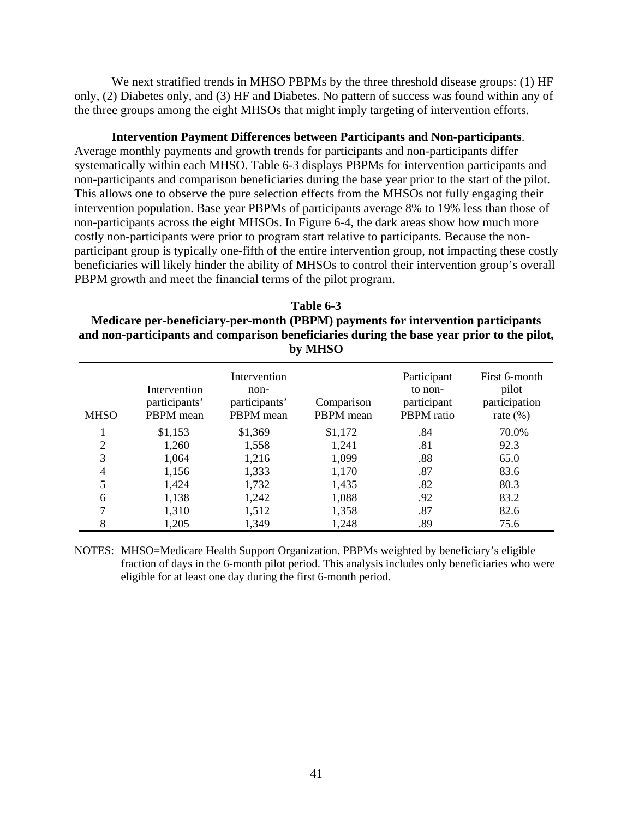<span id="page-45-0"></span>We next stratified trends in MHSO PBPMs by the three threshold disease groups: (1) HF only, (2) Diabetes only, and (3) HF and Diabetes. No pattern of success was found within any of the three groups among the eight MHSOs that might imply targeting of intervention efforts.

**Intervention Payment Differences between Participants and Non-participants**.

Average monthly payments and growth trends for participants and non-participants differ systematically within each MHSO. Table 6-3 displays PBPMs for intervention participants and non-participants and comparison beneficiaries during the base year prior to the start of the pilot. This allows one to observe the pure selection effects from the MHSOs not fully engaging their intervention population. Base year PBPMs of participants average 8% to 19% less than those of non-participants across the eight MHSOs. In Figure 6-4, the dark areas show how much more costly non-participants were prior to program start relative to participants. Because the nonparticipant group is typically one-fifth of the entire intervention group, not impacting these costly beneficiaries will likely hinder the ability of MHSOs to control their intervention group's overall PBPM growth and meet the financial terms of the pilot program.

**Table 6-3 Medicare per-beneficiary-per-month (PBPM) payments for intervention participants and non-participants and comparison beneficiaries during the base year prior to the pilot, by MHSO** 

| <b>MHSO</b>   | Intervention<br>participants'<br>PBPM mean | Intervention<br>non-<br>participants'<br>PBPM mean | Comparison<br>PBPM mean | Participant<br>to non-<br>participant<br>PBPM ratio | First 6-month<br>pilot<br>participation<br>rate $(\%)$ |
|---------------|--------------------------------------------|----------------------------------------------------|-------------------------|-----------------------------------------------------|--------------------------------------------------------|
|               | \$1,153                                    | \$1,369                                            | \$1,172                 | .84                                                 | 70.0%                                                  |
| $\mathcal{D}$ | 1,260                                      | 1,558                                              | 1,241                   | .81                                                 | 92.3                                                   |
| 3             | 1,064                                      | 1,216                                              | 1,099                   | .88                                                 | 65.0                                                   |
|               | 1,156                                      | 1,333                                              | 1,170                   | .87                                                 | 83.6                                                   |
|               | 1,424                                      | 1,732                                              | 1,435                   | .82                                                 | 80.3                                                   |
| 6             | 1,138                                      | 1,242                                              | 1,088                   | .92                                                 | 83.2                                                   |
|               | 1,310                                      | 1,512                                              | 1,358                   | .87                                                 | 82.6                                                   |
|               | 1,205                                      | 1,349                                              | 1,248                   | .89                                                 | 75.6                                                   |

NOTES: MHSO=Medicare Health Support Organization. PBPMs weighted by beneficiary's eligible fraction of days in the 6-month pilot period. This analysis includes only beneficiaries who were eligible for at least one day during the first 6-month period.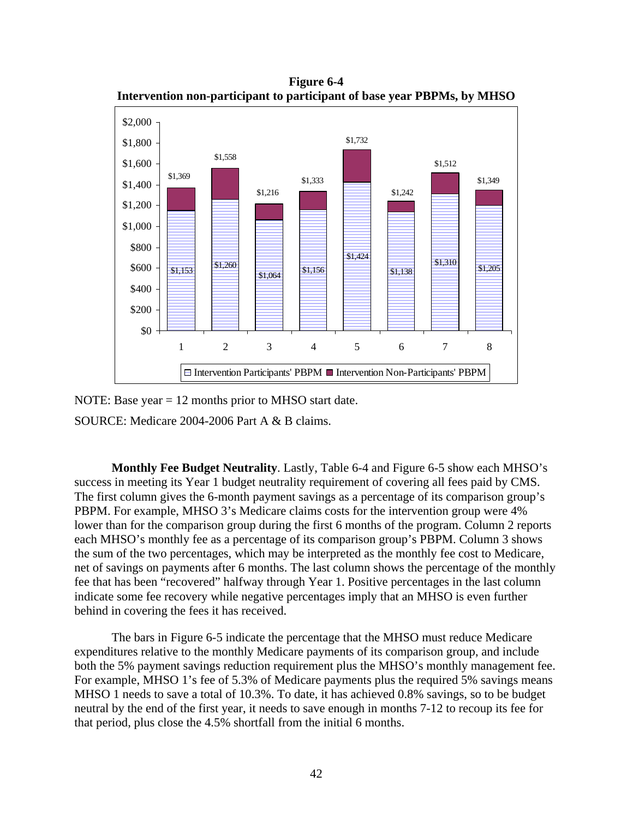<span id="page-46-0"></span>**Figure 6-4 Intervention non-participant to participant of base year PBPMs, by MHSO** 



NOTE: Base year = 12 months prior to MHSO start date.

SOURCE: Medicare 2004-2006 Part A & B claims.

**Monthly Fee Budget Neutrality**. Lastly, Table 6-4 and Figure 6-5 show each MHSO's success in meeting its Year 1 budget neutrality requirement of covering all fees paid by CMS. The first column gives the 6-month payment savings as a percentage of its comparison group's PBPM. For example, MHSO 3's Medicare claims costs for the intervention group were 4% lower than for the comparison group during the first 6 months of the program. Column 2 reports each MHSO's monthly fee as a percentage of its comparison group's PBPM. Column 3 shows the sum of the two percentages, which may be interpreted as the monthly fee cost to Medicare, net of savings on payments after 6 months. The last column shows the percentage of the monthly fee that has been "recovered" halfway through Year 1. Positive percentages in the last column indicate some fee recovery while negative percentages imply that an MHSO is even further behind in covering the fees it has received.

The bars in Figure 6-5 indicate the percentage that the MHSO must reduce Medicare expenditures relative to the monthly Medicare payments of its comparison group, and include both the 5% payment savings reduction requirement plus the MHSO's monthly management fee. For example, MHSO 1's fee of 5.3% of Medicare payments plus the required 5% savings means MHSO 1 needs to save a total of 10.3%. To date, it has achieved 0.8% savings, so to be budget neutral by the end of the first year, it needs to save enough in months 7-12 to recoup its fee for that period, plus close the 4.5% shortfall from the initial 6 months.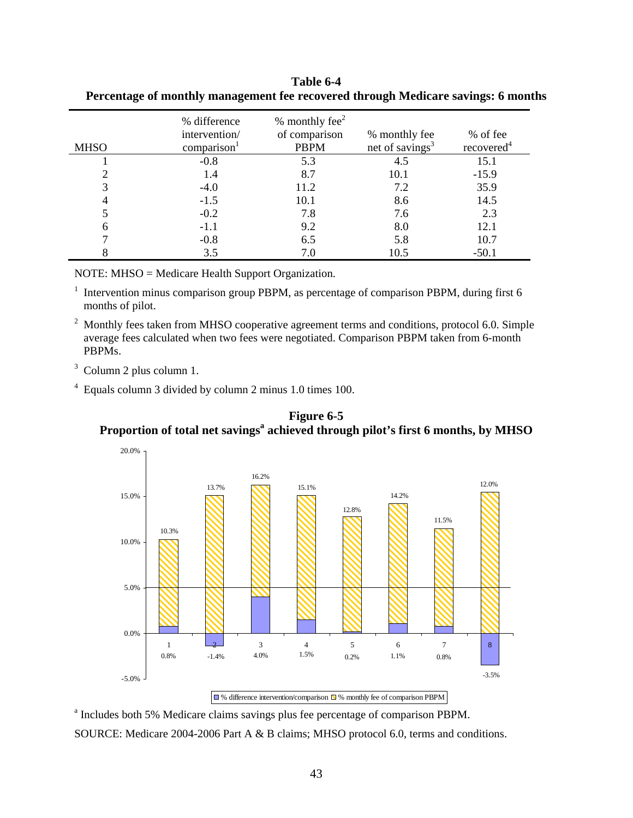| <b>MHSO</b> | % difference<br>intervention/<br>comparison | $%$ monthly fee <sup>2</sup><br>of comparison<br><b>PBPM</b> | % monthly fee<br>net of savings <sup>3</sup> | % of fee<br>recovered <sup>4</sup> |
|-------------|---------------------------------------------|--------------------------------------------------------------|----------------------------------------------|------------------------------------|
|             | $-0.8$                                      | 5.3                                                          | 4.5                                          | 15.1                               |
|             | 1.4                                         | 8.7                                                          | 10.1                                         | $-15.9$                            |
|             | $-4.0$                                      | 11.2                                                         | 7.2                                          | 35.9                               |
|             | $-1.5$                                      | 10.1                                                         | 8.6                                          | 14.5                               |
|             | $-0.2$                                      | 7.8                                                          | 7.6                                          | 2.3                                |
|             | $-1.1$                                      | 9.2                                                          | 8.0                                          | 12.1                               |
|             | $-0.8$                                      | 6.5                                                          | 5.8                                          | 10.7                               |
|             | 3.5                                         | 7.0                                                          | 10.5                                         | $-50.1$                            |

<span id="page-47-0"></span>**Table 6-4 Percentage of monthly management fee recovered through Medicare savings: 6 months** 

NOTE: MHSO = Medicare Health Support Organization.

<sup>1</sup> Intervention minus comparison group PBPM, as percentage of comparison PBPM, during first 6 months of pilot.

 $2$  Monthly fees taken from MHSO cooperative agreement terms and conditions, protocol 6.0. Simple average fees calculated when two fees were negotiated. Comparison PBPM taken from 6-month PBPMs.

3 Column 2 plus column 1.

4 Equals column 3 divided by column 2 minus 1.0 times 100.





<sup>a</sup> Includes both 5% Medicare claims savings plus fee percentage of comparison PBPM.

SOURCE: Medicare 2004-2006 Part A & B claims; MHSO protocol 6.0, terms and conditions.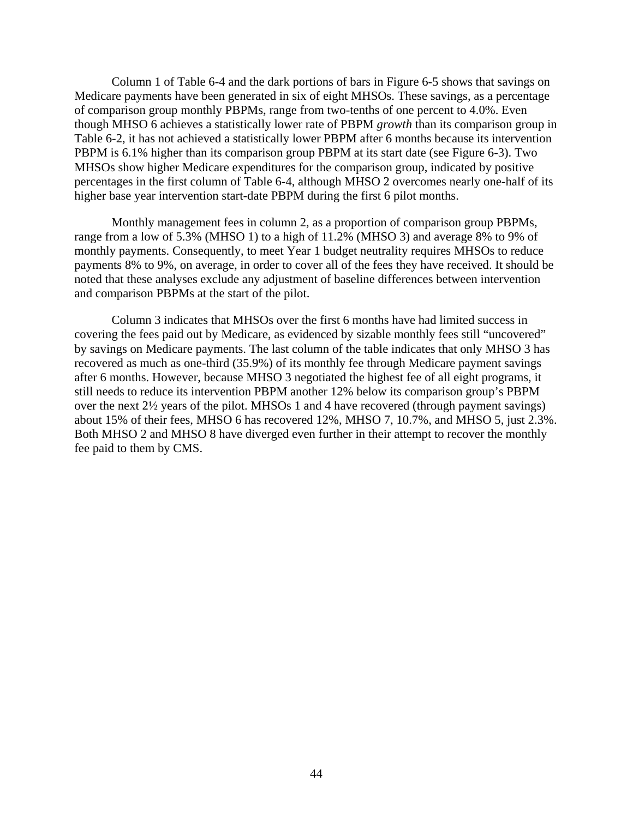Column 1 of Table 6-4 and the dark portions of bars in Figure 6-5 shows that savings on Medicare payments have been generated in six of eight MHSOs. These savings, as a percentage of comparison group monthly PBPMs, range from two-tenths of one percent to 4.0%. Even though MHSO 6 achieves a statistically lower rate of PBPM *growth* than its comparison group in Table 6-2, it has not achieved a statistically lower PBPM after 6 months because its intervention PBPM is 6.1% higher than its comparison group PBPM at its start date (see Figure 6-3). Two MHSOs show higher Medicare expenditures for the comparison group, indicated by positive percentages in the first column of Table 6-4, although MHSO 2 overcomes nearly one-half of its higher base year intervention start-date PBPM during the first 6 pilot months.

Monthly management fees in column 2, as a proportion of comparison group PBPMs, range from a low of 5.3% (MHSO 1) to a high of 11.2% (MHSO 3) and average 8% to 9% of monthly payments. Consequently, to meet Year 1 budget neutrality requires MHSOs to reduce payments 8% to 9%, on average, in order to cover all of the fees they have received. It should be noted that these analyses exclude any adjustment of baseline differences between intervention and comparison PBPMs at the start of the pilot.

Column 3 indicates that MHSOs over the first 6 months have had limited success in covering the fees paid out by Medicare, as evidenced by sizable monthly fees still "uncovered" by savings on Medicare payments. The last column of the table indicates that only MHSO 3 has recovered as much as one-third (35.9%) of its monthly fee through Medicare payment savings after 6 months. However, because MHSO 3 negotiated the highest fee of all eight programs, it still needs to reduce its intervention PBPM another 12% below its comparison group's PBPM over the next 2½ years of the pilot. MHSOs 1 and 4 have recovered (through payment savings) about 15% of their fees, MHSO 6 has recovered 12%, MHSO 7, 10.7%, and MHSO 5, just 2.3%. Both MHSO 2 and MHSO 8 have diverged even further in their attempt to recover the monthly fee paid to them by CMS.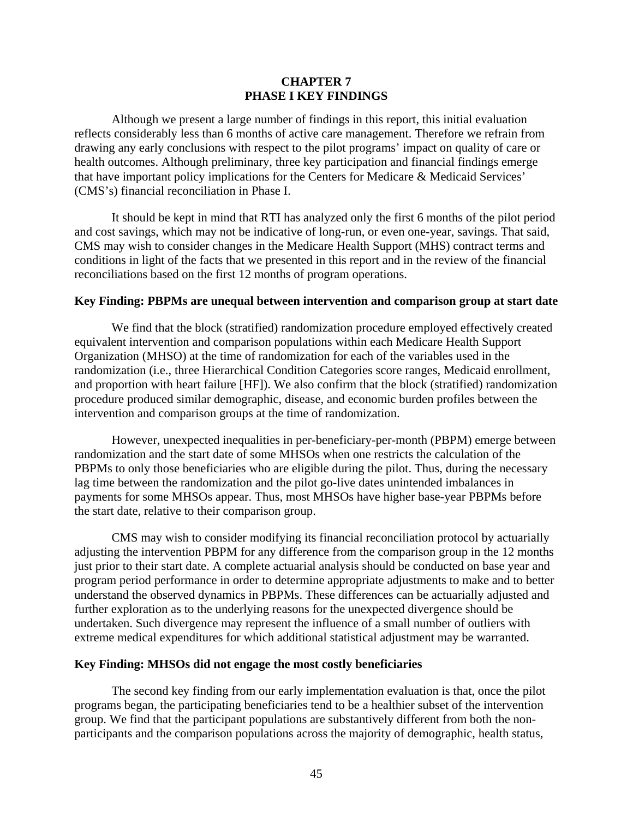### **CHAPTER 7 PHASE I KEY FINDINGS**

<span id="page-49-0"></span>Although we present a large number of findings in this report, this initial evaluation reflects considerably less than 6 months of active care management. Therefore we refrain from drawing any early conclusions with respect to the pilot programs' impact on quality of care or health outcomes. Although preliminary, three key participation and financial findings emerge that have important policy implications for the Centers for Medicare & Medicaid Services' (CMS's) financial reconciliation in Phase I.

It should be kept in mind that RTI has analyzed only the first 6 months of the pilot period and cost savings, which may not be indicative of long-run, or even one-year, savings. That said, CMS may wish to consider changes in the Medicare Health Support (MHS) contract terms and conditions in light of the facts that we presented in this report and in the review of the financial reconciliations based on the first 12 months of program operations.

## **Key Finding: PBPMs are unequal between intervention and comparison group at start date**

We find that the block (stratified) randomization procedure employed effectively created equivalent intervention and comparison populations within each Medicare Health Support Organization (MHSO) at the time of randomization for each of the variables used in the randomization (i.e., three Hierarchical Condition Categories score ranges, Medicaid enrollment, and proportion with heart failure [HF]). We also confirm that the block (stratified) randomization procedure produced similar demographic, disease, and economic burden profiles between the intervention and comparison groups at the time of randomization.

However, unexpected inequalities in per-beneficiary-per-month (PBPM) emerge between randomization and the start date of some MHSOs when one restricts the calculation of the PBPMs to only those beneficiaries who are eligible during the pilot. Thus, during the necessary lag time between the randomization and the pilot go-live dates unintended imbalances in payments for some MHSOs appear. Thus, most MHSOs have higher base-year PBPMs before the start date, relative to their comparison group.

CMS may wish to consider modifying its financial reconciliation protocol by actuarially adjusting the intervention PBPM for any difference from the comparison group in the 12 months just prior to their start date. A complete actuarial analysis should be conducted on base year and program period performance in order to determine appropriate adjustments to make and to better understand the observed dynamics in PBPMs. These differences can be actuarially adjusted and further exploration as to the underlying reasons for the unexpected divergence should be undertaken. Such divergence may represent the influence of a small number of outliers with extreme medical expenditures for which additional statistical adjustment may be warranted.

#### **Key Finding: MHSOs did not engage the most costly beneficiaries**

The second key finding from our early implementation evaluation is that, once the pilot programs began, the participating beneficiaries tend to be a healthier subset of the intervention group. We find that the participant populations are substantively different from both the nonparticipants and the comparison populations across the majority of demographic, health status,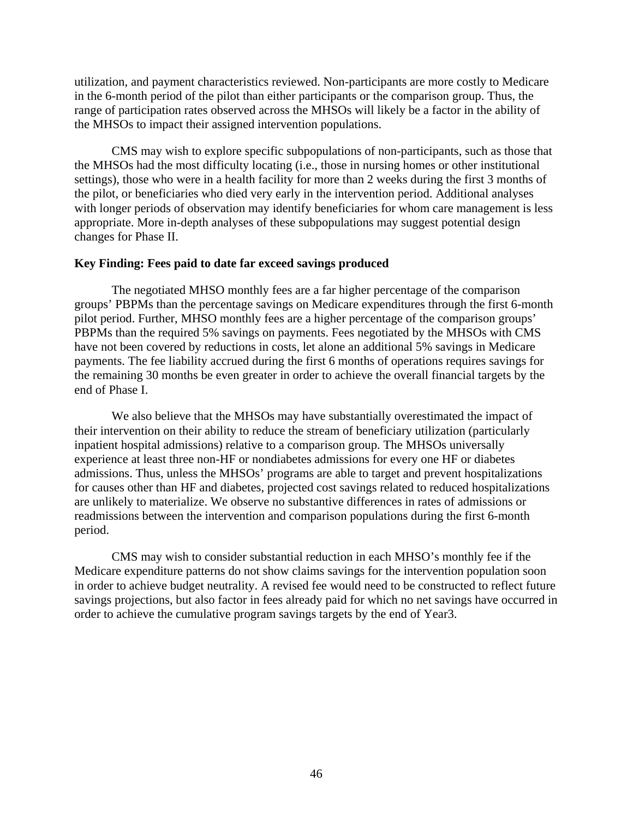utilization, and payment characteristics reviewed. Non-participants are more costly to Medicare in the 6-month period of the pilot than either participants or the comparison group. Thus, the range of participation rates observed across the MHSOs will likely be a factor in the ability of the MHSOs to impact their assigned intervention populations.

CMS may wish to explore specific subpopulations of non-participants, such as those that the MHSOs had the most difficulty locating (i.e., those in nursing homes or other institutional settings), those who were in a health facility for more than 2 weeks during the first 3 months of the pilot, or beneficiaries who died very early in the intervention period. Additional analyses with longer periods of observation may identify beneficiaries for whom care management is less appropriate. More in-depth analyses of these subpopulations may suggest potential design changes for Phase II.

#### **Key Finding: Fees paid to date far exceed savings produced**

The negotiated MHSO monthly fees are a far higher percentage of the comparison groups' PBPMs than the percentage savings on Medicare expenditures through the first 6-month pilot period. Further, MHSO monthly fees are a higher percentage of the comparison groups' PBPMs than the required 5% savings on payments. Fees negotiated by the MHSOs with CMS have not been covered by reductions in costs, let alone an additional 5% savings in Medicare payments. The fee liability accrued during the first 6 months of operations requires savings for the remaining 30 months be even greater in order to achieve the overall financial targets by the end of Phase I.

We also believe that the MHSOs may have substantially overestimated the impact of their intervention on their ability to reduce the stream of beneficiary utilization (particularly inpatient hospital admissions) relative to a comparison group. The MHSOs universally experience at least three non-HF or nondiabetes admissions for every one HF or diabetes admissions. Thus, unless the MHSOs' programs are able to target and prevent hospitalizations for causes other than HF and diabetes, projected cost savings related to reduced hospitalizations are unlikely to materialize. We observe no substantive differences in rates of admissions or readmissions between the intervention and comparison populations during the first 6-month period.

CMS may wish to consider substantial reduction in each MHSO's monthly fee if the Medicare expenditure patterns do not show claims savings for the intervention population soon in order to achieve budget neutrality. A revised fee would need to be constructed to reflect future savings projections, but also factor in fees already paid for which no net savings have occurred in order to achieve the cumulative program savings targets by the end of Year3.